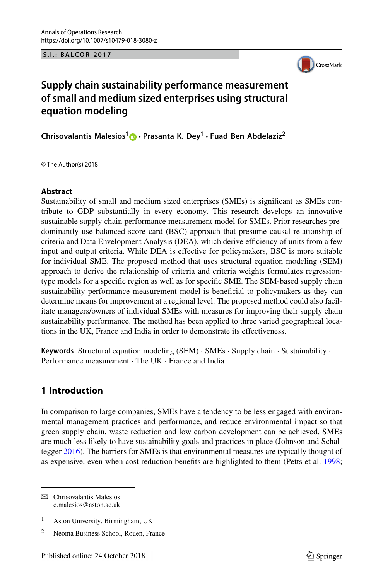**S.I.: BALCOR-2017**



# **Supply chain sustainability performance measurement of small and medium sized enterprises using structural equation modeling**

**Chrisovalantis Malesios[1](http://orcid.org/0000-0003-0378-3939) · Prasanta K. Dey<sup>1</sup> · Fuad Ben Abdelaziz2**

© The Author(s) 2018

#### **Abstract**

Sustainability of small and medium sized enterprises (SMEs) is significant as SMEs contribute to GDP substantially in every economy. This research develops an innovative sustainable supply chain performance measurement model for SMEs. Prior researches predominantly use balanced score card (BSC) approach that presume causal relationship of criteria and Data Envelopment Analysis (DEA), which derive efficiency of units from a few input and output criteria. While DEA is effective for policymakers, BSC is more suitable for individual SME. The proposed method that uses structural equation modeling (SEM) approach to derive the relationship of criteria and criteria weights formulates regressiontype models for a specific region as well as for specific SME. The SEM-based supply chain sustainability performance measurement model is beneficial to policymakers as they can determine means for improvement at a regional level. The proposed method could also facilitate managers/owners of individual SMEs with measures for improving their supply chain sustainability performance. The method has been applied to three varied geographical locations in the UK, France and India in order to demonstrate its effectiveness.

**Keywords** Structural equation modeling (SEM) · SMEs · Supply chain · Sustainability · Performance measurement · The UK · France and India

### **1 Introduction**

In comparison to large companies, SMEs have a tendency to be less engaged with environmental management practices and performance, and reduce environmental impact so that green supply chain, waste reduction and low carbon development can be achieved. SMEs are much less likely to have sustainability goals and practices in place (Johnson and Schaltegger [2016\)](#page-29-0). The barriers for SMEs is that environmental measures are typically thought of as expensive, even when cost reduction benefits are highlighted to them (Petts et al. [1998;](#page-29-1)

<sup>1</sup> Aston University, Birmingham, UK

 $\boxtimes$  Chrisovalantis Malesios c.malesios@aston.ac.uk

<sup>2</sup> Neoma Business School, Rouen, France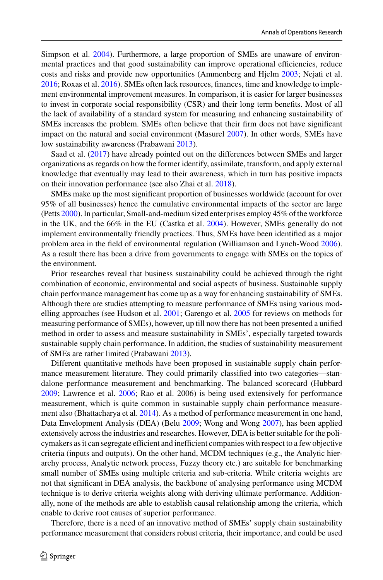Simpson et al. [2004\)](#page-30-0). Furthermore, a large proportion of SMEs are unaware of environmental practices and that good sustainability can improve operational efficiencies, reduce costs and risks and provide new opportunities (Ammenberg and Hjelm [2003;](#page-28-0) Nejati et al. [2016;](#page-29-2) Roxas et al. [2016\)](#page-30-1). SMEs often lack resources, finances, time and knowledge to implement environmental improvement measures. In comparison, it is easier for larger businesses to invest in corporate social responsibility (CSR) and their long term benefits. Most of all the lack of availability of a standard system for measuring and enhancing sustainability of SMEs increases the problem. SMEs often believe that their firm does not have significant impact on the natural and social environment (Masurel [2007\)](#page-29-3). In other words, SMEs have low sustainability awareness (Prabawani [2013\)](#page-29-4).

Saad et al. [\(2017\)](#page-30-2) have already pointed out on the differences between SMEs and larger organizations as regards on how the former identify, assimilate, transform, and apply external knowledge that eventually may lead to their awareness, which in turn has positive impacts on their innovation performance (see also Zhai et al. [2018\)](#page-30-3).

SMEs make up the most significant proportion of businesses worldwide (account for over 95% of all businesses) hence the cumulative environmental impacts of the sector are large (Petts [2000\)](#page-29-5). In particular, Small-and-medium sized enterprises employ 45% of the workforce in the UK, and the 66% in the EU (Castka et al. [2004\)](#page-28-1). However, SMEs generally do not implement environmentally friendly practices. Thus, SMEs have been identified as a major problem area in the field of environmental regulation (Williamson and Lynch-Wood [2006\)](#page-30-4). As a result there has been a drive from governments to engage with SMEs on the topics of the environment.

Prior researches reveal that business sustainability could be achieved through the right combination of economic, environmental and social aspects of business. Sustainable supply chain performance management has come up as a way for enhancing sustainability of SMEs. Although there are studies attempting to measure performance of SMEs using various modelling approaches (see Hudson et al. [2001;](#page-29-6) Garengo et al. [2005](#page-28-2) for reviews on methods for measuring performance of SMEs), however, up till now there has not been presented a unified method in order to assess and measure sustainability in SMEs', especially targeted towards sustainable supply chain performance. In addition, the studies of sustainability measurement of SMEs are rather limited (Prabawani [2013\)](#page-29-4).

Different quantitative methods have been proposed in sustainable supply chain performance measurement literature. They could primarily classified into two categories—standalone performance measurement and benchmarking. The balanced scorecard (Hubbard [2009;](#page-29-7) Lawrence et al. [2006;](#page-29-8) Rao et al. 2006) is being used extensively for performance measurement, which is quite common in sustainable supply chain performance measurement also (Bhattacharya et al. [2014\)](#page-28-3). As a method of performance measurement in one hand, Data Envelopment Analysis (DEA) (Belu [2009;](#page-28-4) Wong and Wong [2007\)](#page-30-5), has been applied extensively across the industries and researches. However, DEA is better suitable for the policymakers as it can segregate efficient and inefficient companies with respect to a few objective criteria (inputs and outputs). On the other hand, MCDM techniques (e.g., the Analytic hierarchy process, Analytic network process, Fuzzy theory etc.) are suitable for benchmarking small number of SMEs using multiple criteria and sub-criteria. While criteria weights are not that significant in DEA analysis, the backbone of analysing performance using MCDM technique is to derive criteria weights along with deriving ultimate performance. Additionally, none of the methods are able to establish causal relationship among the criteria, which enable to derive root causes of superior performance.

Therefore, there is a need of an innovative method of SMEs' supply chain sustainability performance measurement that considers robust criteria, their importance, and could be used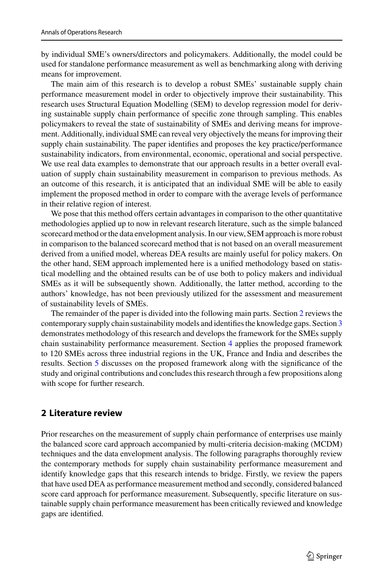by individual SME's owners/directors and policymakers. Additionally, the model could be used for standalone performance measurement as well as benchmarking along with deriving means for improvement.

The main aim of this research is to develop a robust SMEs' sustainable supply chain performance measurement model in order to objectively improve their sustainability. This research uses Structural Equation Modelling (SEM) to develop regression model for deriving sustainable supply chain performance of specific zone through sampling. This enables policymakers to reveal the state of sustainability of SMEs and deriving means for improvement. Additionally, individual SME can reveal very objectively the means for improving their supply chain sustainability. The paper identifies and proposes the key practice/performance sustainability indicators, from environmental, economic, operational and social perspective. We use real data examples to demonstrate that our approach results in a better overall evaluation of supply chain sustainability measurement in comparison to previous methods. As an outcome of this research, it is anticipated that an individual SME will be able to easily implement the proposed method in order to compare with the average levels of performance in their relative region of interest.

We pose that this method offers certain advantages in comparison to the other quantitative methodologies applied up to now in relevant research literature, such as the simple balanced scorecard method or the data envelopment analysis. In our view, SEM approach is more robust in comparison to the balanced scorecard method that is not based on an overall measurement derived from a unified model, whereas DEA results are mainly useful for policy makers. On the other hand, SEM approach implemented here is a unified methodology based on statistical modelling and the obtained results can be of use both to policy makers and individual SMEs as it will be subsequently shown. Additionally, the latter method, according to the authors' knowledge, has not been previously utilized for the assessment and measurement of sustainability levels of SMEs.

The remainder of the paper is divided into the following main parts. Section [2](#page-2-0) reviews the contemporary supply chain sustainability models and identifies the knowledge gaps. Section [3](#page-5-0) demonstrates methodology of this research and develops the framework for the SMEs supply chain sustainability performance measurement. Section [4](#page-9-0) applies the proposed framework to 120 SMEs across three industrial regions in the UK, France and India and describes the results. Section [5](#page-20-0) discusses on the proposed framework along with the significance of the study and original contributions and concludes this research through a few propositions along with scope for further research.

### <span id="page-2-0"></span>**2 Literature review**

Prior researches on the measurement of supply chain performance of enterprises use mainly the balanced score card approach accompanied by multi-criteria decision-making (MCDM) techniques and the data envelopment analysis. The following paragraphs thoroughly review the contemporary methods for supply chain sustainability performance measurement and identify knowledge gaps that this research intends to bridge. Firstly, we review the papers that have used DEA as performance measurement method and secondly, considered balanced score card approach for performance measurement. Subsequently, specific literature on sustainable supply chain performance measurement has been critically reviewed and knowledge gaps are identified.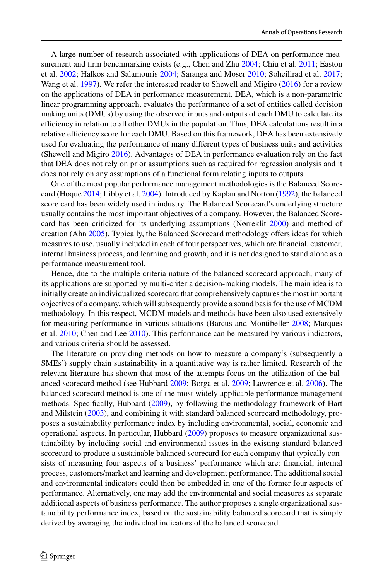A large number of research associated with applications of DEA on performance mea-surement and firm benchmarking exists (e.g., Chen and Zhu [2004;](#page-28-5) Chiu et al. [2011;](#page-28-6) Easton et al. [2002;](#page-28-7) Halkos and Salamouris [2004;](#page-28-8) Saranga and Moser [2010;](#page-30-6) Soheilirad et al. [2017;](#page-30-7) Wang et al. [1997\)](#page-30-8). We refer the interested reader to Shewell and Migiro [\(2016\)](#page-30-9) for a review on the applications of DEA in performance measurement. DEA, which is a non-parametric linear programming approach, evaluates the performance of a set of entities called decision making units (DMUs) by using the observed inputs and outputs of each DMU to calculate its efficiency in relation to all other DMUs in the population. Thus, DEA calculations result in a relative efficiency score for each DMU. Based on this framework, DEA has been extensively used for evaluating the performance of many different types of business units and activities (Shewell and Migiro [2016\)](#page-30-9). Advantages of DEA in performance evaluation rely on the fact that DEA does not rely on prior assumptions such as required for regression analysis and it does not rely on any assumptions of a functional form relating inputs to outputs.

One of the most popular performance management methodologies is the Balanced Scorecard (Hoque [2014;](#page-28-9) Libby et al. [2004\)](#page-29-9). Introduced by Kaplan and Norton [\(1992\)](#page-29-10), the balanced score card has been widely used in industry. The Balanced Scorecard's underlying structure usually contains the most important objectives of a company. However, the Balanced Scorecard has been criticized for its underlying assumptions (Nørreklit [2000\)](#page-29-11) and method of creation (Ahn [2005\)](#page-27-0). Typically, the Balanced Scorecard methodology offers ideas for which measures to use, usually included in each of four perspectives, which are financial, customer, internal business process, and learning and growth, and it is not designed to stand alone as a performance measurement tool.

Hence, due to the multiple criteria nature of the balanced scorecard approach, many of its applications are supported by multi-criteria decision-making models. The main idea is to initially create an individualized scorecard that comprehensively captures the most important objectives of a company, which will subsequently provide a sound basis for the use of MCDM methodology. In this respect, MCDM models and methods have been also used extensively for measuring performance in various situations (Barcus and Montibeller [2008;](#page-28-10) Marques et al. [2010;](#page-29-12) Chen and Lee [2010\)](#page-28-11). This performance can be measured by various indicators, and various criteria should be assessed.

The literature on providing methods on how to measure a company's (subsequently a SMEs') supply chain sustainability in a quantitative way is rather limited. Research of the relevant literature has shown that most of the attempts focus on the utilization of the balanced scorecard method (see Hubbard [2009;](#page-29-7) Borga et al. [2009;](#page-28-12) Lawrence et al. [2006\)](#page-29-8). The balanced scorecard method is one of the most widely applicable performance management methods. Specifically, Hubbard [\(2009\)](#page-29-7), by following the methodology framework of Hart and Milstein [\(2003\)](#page-28-13), and combining it with standard balanced scorecard methodology, proposes a sustainability performance index by including environmental, social, economic and operational aspects. In particular, Hubbard [\(2009\)](#page-29-7) proposes to measure organizational sustainability by including social and environmental issues in the existing standard balanced scorecard to produce a sustainable balanced scorecard for each company that typically consists of measuring four aspects of a business' performance which are: financial, internal process, customers/market and learning and development performance. The additional social and environmental indicators could then be embedded in one of the former four aspects of performance. Alternatively, one may add the environmental and social measures as separate additional aspects of business performance. The author proposes a single organizational sustainability performance index, based on the sustainability balanced scorecard that is simply derived by averaging the individual indicators of the balanced scorecard.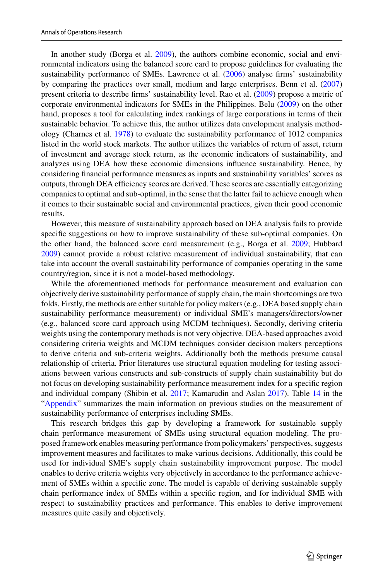In another study (Borga et al. [2009\)](#page-28-12), the authors combine economic, social and environmental indicators using the balanced score card to propose guidelines for evaluating the sustainability performance of SMEs. Lawrence et al. [\(2006\)](#page-29-8) analyse firms' sustainability by comparing the practices over small, medium and large enterprises. Benn et al. [\(2007\)](#page-28-14) present criteria to describe firms' sustainability level. Rao et al. [\(2009\)](#page-29-13) propose a metric of corporate environmental indicators for SMEs in the Philippines. Belu [\(2009\)](#page-28-4) on the other hand, proposes a tool for calculating index rankings of large corporations in terms of their sustainable behavior. To achieve this, the author utilizes data envelopment analysis methodology (Charnes et al. [1978\)](#page-28-15) to evaluate the sustainability performance of 1012 companies listed in the world stock markets. The author utilizes the variables of return of asset, return of investment and average stock return, as the economic indicators of sustainability, and analyzes using DEA how these economic dimensions influence sustainability. Hence, by considering financial performance measures as inputs and sustainability variables' scores as outputs, through DEA efficiency scores are derived. These scores are essentially categorizing companies to optimal and sub-optimal, in the sense that the latter fail to achieve enough when it comes to their sustainable social and environmental practices, given their good economic results.

However, this measure of sustainability approach based on DEA analysis fails to provide specific suggestions on how to improve sustainability of these sub-optimal companies. On the other hand, the balanced score card measurement (e.g., Borga et al. [2009;](#page-28-12) Hubbard [2009\)](#page-29-7) cannot provide a robust relative measurement of individual sustainability, that can take into account the overall sustainability performance of companies operating in the same country/region, since it is not a model-based methodology.

While the aforementioned methods for performance measurement and evaluation can objectively derive sustainability performance of supply chain, the main shortcomings are two folds. Firstly, the methods are either suitable for policy makers (e.g., DEA based supply chain sustainability performance measurement) or individual SME's managers/directors/owner (e.g., balanced score card approach using MCDM techniques). Secondly, deriving criteria weights using the contemporary methods is not very objective. DEA-based approaches avoid considering criteria weights and MCDM techniques consider decision makers perceptions to derive criteria and sub-criteria weights. Additionally both the methods presume causal relationship of criteria. Prior literatures use structural equation modeling for testing associations between various constructs and sub-constructs of supply chain sustainability but do not focus on developing sustainability performance measurement index for a specific region and individual company (Shibin et al. [2017;](#page-30-10) Kamarudin and Aslan [2017\)](#page-29-14). Table [14](#page-23-0) in the ["Appendix"](#page-22-0) summarizes the main information on previous studies on the measurement of sustainability performance of enterprises including SMEs.

This research bridges this gap by developing a framework for sustainable supply chain performance measurement of SMEs using structural equation modeling. The proposed framework enables measuring performance from policymakers' perspectives, suggests improvement measures and facilitates to make various decisions. Additionally, this could be used for individual SME's supply chain sustainability improvement purpose. The model enables to derive criteria weights very objectively in accordance to the performance achievement of SMEs within a specific zone. The model is capable of deriving sustainable supply chain performance index of SMEs within a specific region, and for individual SME with respect to sustainability practices and performance. This enables to derive improvement measures quite easily and objectively.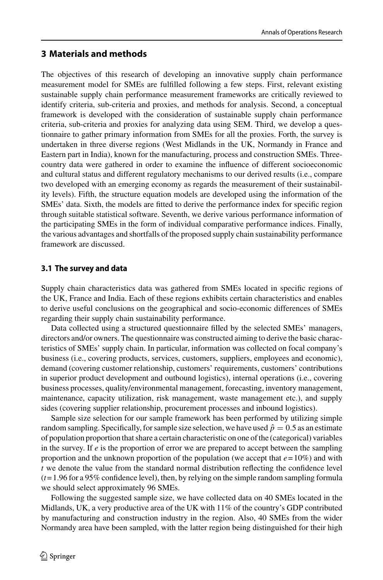### <span id="page-5-0"></span>**3 Materials and methods**

The objectives of this research of developing an innovative supply chain performance measurement model for SMEs are fulfilled following a few steps. First, relevant existing sustainable supply chain performance measurement frameworks are critically reviewed to identify criteria, sub-criteria and proxies, and methods for analysis. Second, a conceptual framework is developed with the consideration of sustainable supply chain performance criteria, sub-criteria and proxies for analyzing data using SEM. Third, we develop a questionnaire to gather primary information from SMEs for all the proxies. Forth, the survey is undertaken in three diverse regions (West Midlands in the UK, Normandy in France and Eastern part in India), known for the manufacturing, process and construction SMEs. Threecountry data were gathered in order to examine the influence of different socioeconomic and cultural status and different regulatory mechanisms to our derived results (i.e., compare two developed with an emerging economy as regards the measurement of their sustainability levels). Fifth, the structure equation models are developed using the information of the SMEs' data. Sixth, the models are fitted to derive the performance index for specific region through suitable statistical software. Seventh, we derive various performance information of the participating SMEs in the form of individual comparative performance indices. Finally, the various advantages and shortfalls of the proposed supply chain sustainability performance framework are discussed.

#### **3.1 The survey and data**

Supply chain characteristics data was gathered from SMEs located in specific regions of the UK, France and India. Each of these regions exhibits certain characteristics and enables to derive useful conclusions on the geographical and socio-economic differences of SMEs regarding their supply chain sustainability performance.

Data collected using a structured questionnaire filled by the selected SMEs' managers, directors and/or owners. The questionnaire was constructed aiming to derive the basic characteristics of SMEs' supply chain. In particular, information was collected on focal company's business (i.e., covering products, services, customers, suppliers, employees and economic), demand (covering customer relationship, customers' requirements, customers' contributions in superior product development and outbound logistics), internal operations (i.e., covering business processes, quality/environmental management, forecasting, inventory management, maintenance, capacity utilization, risk management, waste management etc.), and supply sides (covering supplier relationship, procurement processes and inbound logistics).

Sample size selection for our sample framework has been performed by utilizing simple random sampling. Specifically, for sample size selection, we have used  $\hat{p} = 0.5$  as an estimate of population proportion that share a certain characteristic on one of the (categorical) variables in the survey. If  $e$  is the proportion of error we are prepared to accept between the sampling proportion and the unknown proportion of the population (we accept that *e*= 10%) and with *t* we denote the value from the standard normal distribution reflecting the confidence level (*t*= 1.96 for a 95% confidence level), then, by relying on the simple random sampling formula we should select approximately 96 SMEs.

Following the suggested sample size, we have collected data on 40 SMEs located in the Midlands, UK, a very productive area of the UK with 11% of the country's GDP contributed by manufacturing and construction industry in the region. Also, 40 SMEs from the wider Normandy area have been sampled, with the latter region being distinguished for their high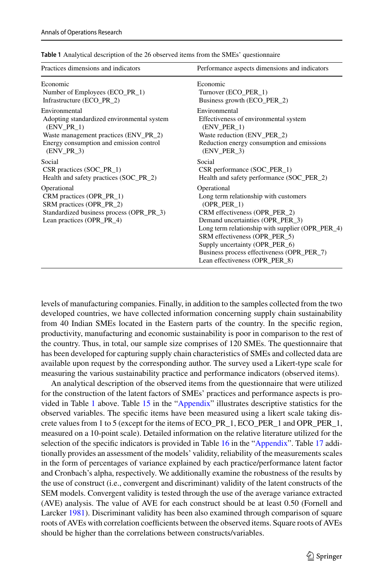<span id="page-6-0"></span>

| Practices dimensions and indicators                                                                                                          | Performance aspects dimensions and indicators                                                                                                                                                                                                                                                                                                     |
|----------------------------------------------------------------------------------------------------------------------------------------------|---------------------------------------------------------------------------------------------------------------------------------------------------------------------------------------------------------------------------------------------------------------------------------------------------------------------------------------------------|
| Economic                                                                                                                                     | Economic                                                                                                                                                                                                                                                                                                                                          |
| Number of Employees (ECO_PR_1)                                                                                                               | Turnover (ECO_PER_1)                                                                                                                                                                                                                                                                                                                              |
| Infrastructure (ECO_PR_2)                                                                                                                    | Business growth (ECO_PER_2)                                                                                                                                                                                                                                                                                                                       |
| Environmental                                                                                                                                | Environmental                                                                                                                                                                                                                                                                                                                                     |
| Adopting standardized environmental system                                                                                                   | Effectiveness of environmental system                                                                                                                                                                                                                                                                                                             |
| (ENV PR 1)                                                                                                                                   | $(ENV_PER_1)$                                                                                                                                                                                                                                                                                                                                     |
| Waste management practices (ENV_PR_2)                                                                                                        | Waste reduction (ENV_PER_2)                                                                                                                                                                                                                                                                                                                       |
| Energy consumption and emission control                                                                                                      | Reduction energy consumption and emissions                                                                                                                                                                                                                                                                                                        |
| (ENV PR 3)                                                                                                                                   | $(ENV_PER_3)$                                                                                                                                                                                                                                                                                                                                     |
| Social                                                                                                                                       | Social                                                                                                                                                                                                                                                                                                                                            |
| $CSR$ practices $(SOC_PR_1)$                                                                                                                 | CSR performance (SOC_PER_1)                                                                                                                                                                                                                                                                                                                       |
| Health and safety practices (SOC_PR_2)                                                                                                       | Health and safety performance (SOC_PER_2)                                                                                                                                                                                                                                                                                                         |
| Operational<br>CRM practices (OPR_PR_1)<br>SRM practices (OPR_PR_2)<br>Standardized business process (OPR_PR_3)<br>Lean practices (OPR_PR_4) | Operational<br>Long term relationship with customers<br>$(OPR_PER_1)$<br>CRM effectiveness (OPR_PER_2)<br>Demand uncertainties (OPR_PER_3)<br>Long term relationship with supplier (OPR_PER_4)<br>SRM effectiveness (OPR_PER_5)<br>Supply uncertainty (OPR_PER_6)<br>Business process effectiveness (OPR_PER_7)<br>Lean effectiveness (OPR_PER_8) |

**Table 1** Analytical description of the 26 observed items from the SMEs' questionnaire

levels of manufacturing companies. Finally, in addition to the samples collected from the two developed countries, we have collected information concerning supply chain sustainability from 40 Indian SMEs located in the Eastern parts of the country. In the specific region, productivity, manufacturing and economic sustainability is poor in comparison to the rest of the country. Thus, in total, our sample size comprises of 120 SMEs. The questionnaire that has been developed for capturing supply chain characteristics of SMEs and collected data are available upon request by the corresponding author. The survey used a Likert-type scale for measuring the various sustainability practice and performance indicators (observed items).

An analytical description of the observed items from the questionnaire that were utilized for the construction of the latent factors of SMEs' practices and performance aspects is provided in Table [1](#page-6-0) above. Table [15](#page-24-0) in the ["Appendix"](#page-22-0) illustrates descriptive statistics for the observed variables. The specific items have been measured using a likert scale taking discrete values from 1 to 5 (except for the items of ECO\_PR\_1, ECO\_PER\_1 and OPR\_PER\_1, measured on a 10-point scale). Detailed information on the relative literature utilized for the selection of the specific indicators is provided in Table [16](#page-25-0) in the ["Appendix"](#page-22-0). Table [17](#page-26-0) additionally provides an assessment of the models' validity, reliability of the measurements scales in the form of percentages of variance explained by each practice/performance latent factor and Cronbach's alpha, respectively. We additionally examine the robustness of the results by the use of construct (i.e., convergent and discriminant) validity of the latent constructs of the SEM models. Convergent validity is tested through the use of the average variance extracted (AVE) analysis. The value of AVE for each construct should be at least 0.50 (Fornell and Larcker [1981\)](#page-28-16). Discriminant validity has been also examined through comparison of square roots of AVEs with correlation coefficients between the observed items. Square roots of AVEs should be higher than the correlations between constructs/variables.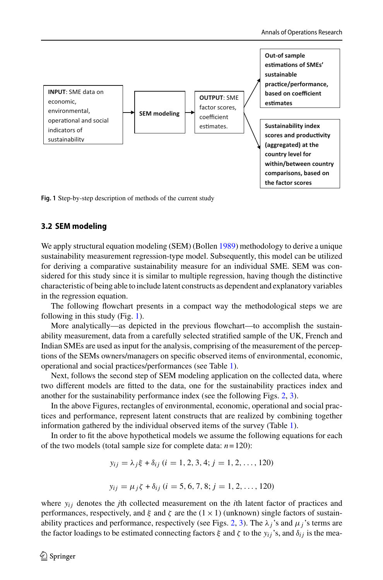

#### <span id="page-7-0"></span>**3.2 SEM modeling**

We apply structural equation modeling (SEM) (Bollen [1989\)](#page-28-17) methodology to derive a unique sustainability measurement regression-type model. Subsequently, this model can be utilized for deriving a comparative sustainability measure for an individual SME. SEM was considered for this study since it is similar to multiple regression, having though the distinctive characteristic of being able to include latent constructs as dependent and explanatory variables in the regression equation.

The following flowchart presents in a compact way the methodological steps we are following in this study (Fig. [1\)](#page-7-0).

More analytically—as depicted in the previous flowchart—to accomplish the sustainability measurement, data from a carefully selected stratified sample of the UK, French and Indian SMEs are used as input for the analysis, comprising of the measurement of the perceptions of the SEMs owners/managers on specific observed items of environmental, economic, operational and social practices/performances (see Table [1\)](#page-6-0).

Next, follows the second step of SEM modeling application on the collected data, where two different models are fitted to the data, one for the sustainability practices index and another for the sustainability performance index (see the following Figs. [2,](#page-8-0) [3\)](#page-8-1).

In the above Figures, rectangles of environmental, economic, operational and social practices and performance, represent latent constructs that are realized by combining together information gathered by the individual observed items of the survey (Table [1\)](#page-6-0).

In order to fit the above hypothetical models we assume the following equations for each of the two models (total sample size for complete data: *n*= 120):

$$
y_{ij} = \lambda_j \xi + \delta_{ij} \ (i = 1, 2, 3, 4; j = 1, 2, \dots, 120)
$$

$$
y_{ij} = \mu_j \zeta + \delta_{ij} \ (i = 5, 6, 7, 8; j = 1, 2, \dots, 120)
$$

where  $y_{ij}$  denotes the *j*th collected measurement on the *i*th latent factor of practices and performances, respectively, and  $\xi$  and  $\zeta$  are the  $(1 \times 1)$  (unknown) single factors of sustain-ability practices and performance, respectively (see Figs. [2,](#page-8-0) [3\)](#page-8-1). The  $\lambda_j$ 's and  $\mu_j$ 's terms are the factor loadings to be estimated connecting factors  $\xi$  and  $\zeta$  to the  $y_{ij}$ 's, and  $\delta_{ij}$  is the mea-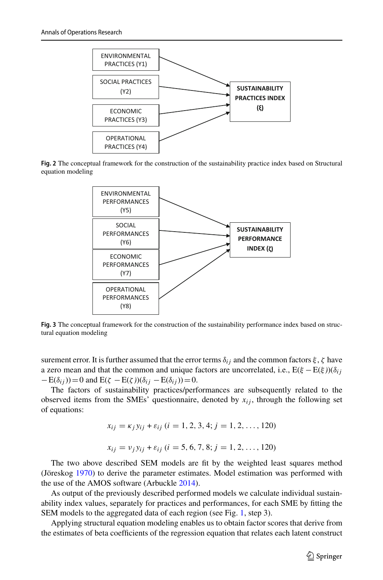

<span id="page-8-0"></span>**Fig. 2** The conceptual framework for the construction of the sustainability practice index based on Structural equation modeling



<span id="page-8-1"></span>**Fig. 3** The conceptual framework for the construction of the sustainability performance index based on structural equation modeling

surement error. It is further assumed that the error terms  $δ<sub>i</sub>$ *i* and the common factors  $ξ, ζ$  have a zero mean and that the common and unique factors are uncorrelated, i.e.,  $E(\xi - E(\xi))(\delta_{ij})$  $-$  E( $\delta_{ij}$ )) = 0 and E( $\zeta$  – E( $\zeta$ ))( $\delta_{ij}$  – E( $\delta_{ij}$ )) = 0.

The factors of sustainability practices/performances are subsequently related to the observed items from the SMEs' questionnaire, denoted by  $x_{ij}$ , through the following set of equations:

$$
x_{ij} = \kappa_j y_{ij} + \varepsilon_{ij} \ (i = 1, 2, 3, 4; j = 1, 2, \dots, 120)
$$

$$
x_{ij} = v_j y_{ij} + \varepsilon_{ij} \ (i = 5, 6, 7, 8; j = 1, 2, \dots, 120)
$$

The two above described SEM models are fit by the weighted least squares method (Jöreskog [1970\)](#page-29-15) to derive the parameter estimates. Model estimation was performed with the use of the AMOS software (Arbuckle [2014\)](#page-28-18).

As output of the previously described performed models we calculate individual sustainability index values, separately for practices and performances, for each SME by fitting the SEM models to the aggregated data of each region (see Fig. [1,](#page-7-0) step 3).

Applying structural equation modeling enables us to obtain factor scores that derive from the estimates of beta coefficients of the regression equation that relates each latent construct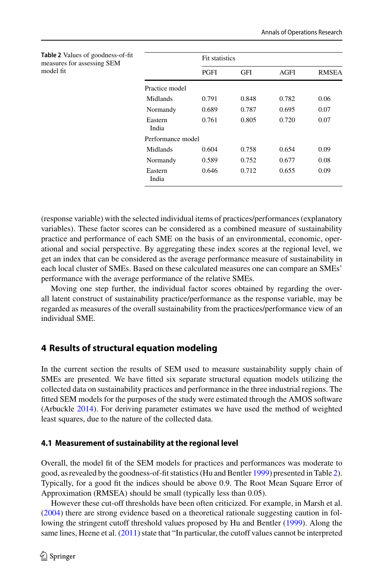<span id="page-9-1"></span>

| <b>Table 2</b> Values of goodness-of-fit<br>measures for assessing SEM |                   | Fit statistics |            |             |              |
|------------------------------------------------------------------------|-------------------|----------------|------------|-------------|--------------|
| model fit                                                              |                   | <b>PGFI</b>    | <b>GFI</b> | <b>AGFI</b> | <b>RMSEA</b> |
|                                                                        | Practice model    |                |            |             |              |
|                                                                        | Midlands          | 0.791          | 0.848      | 0.782       | 0.06         |
|                                                                        | Normandy          | 0.689          | 0.787      | 0.695       | 0.07         |
|                                                                        | Eastern<br>India  | 0.761          | 0.805      | 0.720       | 0.07         |
|                                                                        | Performance model |                |            |             |              |
|                                                                        | Midlands          | 0.604          | 0.758      | 0.654       | 0.09         |
|                                                                        | Normandy          | 0.589          | 0.752      | 0.677       | 0.08         |
|                                                                        | Eastern<br>India  | 0.646          | 0.712      | 0.655       | 0.09         |

(response variable) with the selected individual items of practices/performances (explanatory variables). These factor scores can be considered as a combined measure of sustainability practice and performance of each SME on the basis of an environmental, economic, operational and social perspective. By aggregating these index scores at the regional level, we get an index that can be considered as the average performance measure of sustainability in each local cluster of SMEs. Based on these calculated measures one can compare an SMEs' performance with the average performance of the relative SMEs.

Moving one step further, the individual factor scores obtained by regarding the overall latent construct of sustainability practice/performance as the response variable, may be regarded as measures of the overall sustainability from the practices/performance view of an individual SME.

# <span id="page-9-0"></span>**4 Results of structural equation modeling**

In the current section the results of SEM used to measure sustainability supply chain of SMEs are presented. We have fitted six separate structural equation models utilizing the collected data on sustainability practices and performance in the three industrial regions. The fitted SEM models for the purposes of the study were estimated through the AMOS software (Arbuckle [2014\)](#page-28-18). For deriving parameter estimates we have used the method of weighted least squares, due to the nature of the collected data.

### **4.1 Measurement of sustainability at the regional level**

Overall, the model fit of the SEM models for practices and performances was moderate to good, as revealed by the goodness-of-fit statistics (Hu and Bentler [1999\)](#page-29-16) presented in Table [2\)](#page-9-1). Typically, for a good fit the indices should be above 0.9. The Root Mean Square Error of Approximation (RMSEA) should be small (typically less than 0.05).

However these cut-off thresholds have been often criticized. For example, in Marsh et al. [\(2004\)](#page-29-17) there are strong evidence based on a theoretical rationale suggesting caution in following the stringent cutoff threshold values proposed by Hu and Bentler [\(1999\)](#page-29-16). Along the same lines, Heene et al. [\(2011\)](#page-28-19) state that "In particular, the cutoff values cannot be interpreted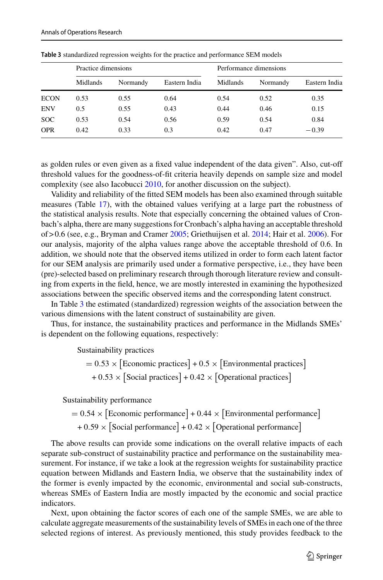<span id="page-10-0"></span>

|             | Practice dimensions |          |               |          | Performance dimensions |               |
|-------------|---------------------|----------|---------------|----------|------------------------|---------------|
|             | Midlands            | Normandy | Eastern India | Midlands | Normandy               | Eastern India |
| <b>ECON</b> | 0.53                | 0.55     | 0.64          | 0.54     | 0.52                   | 0.35          |
| <b>ENV</b>  | 0.5                 | 0.55     | 0.43          | 0.44     | 0.46                   | 0.15          |
| <b>SOC</b>  | 0.53                | 0.54     | 0.56          | 0.59     | 0.54                   | 0.84          |
| <b>OPR</b>  | 0.42                | 0.33     | 0.3           | 0.42     | 0.47                   | $-0.39$       |

**Table 3** standardized regression weights for the practice and performance SEM models

as golden rules or even given as a fixed value independent of the data given". Also, cut-off threshold values for the goodness-of-fit criteria heavily depends on sample size and model complexity (see also Iacobucci [2010,](#page-29-18) for another discussion on the subject).

Validity and reliability of the fitted SEM models has been also examined through suitable measures (Table [17\)](#page-26-0), with the obtained values verifying at a large part the robustness of the statistical analysis results. Note that especially concerning the obtained values of Cronbach's alpha, there are many suggestions for Cronbach's alpha having an acceptable threshold of > 0.6 (see, e.g., Bryman and Cramer [2005;](#page-28-20) Griethuijsen et al. [2014;](#page-28-21) Hair et al. [2006\)](#page-28-22). For our analysis, majority of the alpha values range above the acceptable threshold of 0.6. In addition, we should note that the observed items utilized in order to form each latent factor for our SEM analysis are primarily used under a formative perspective, i.e., they have been (pre)-selected based on preliminary research through thorough literature review and consulting from experts in the field, hence, we are mostly interested in examining the hypothesized associations between the specific observed items and the corresponding latent construct.

In Table [3](#page-10-0) the estimated (standardized) regression weights of the association between the various dimensions with the latent construct of sustainability are given.

Thus, for instance, the sustainability practices and performance in the Midlands SMEs' is dependent on the following equations, respectively:

Sustainability practices

 $= 0.53 \times$  [Economic practices] + 0.5  $\times$  [Environmental practices]  $+ 0.53 \times$  [Social practices]  $+ 0.42 \times$  [Operational practices]

Sustainability performance

 $= 0.54 \times$  [Economic performance] + 0.44  $\times$  [Environmental performance]  $+ 0.59 \times$  [Social performance]  $+ 0.42 \times$  [Operational performance]

The above results can provide some indications on the overall relative impacts of each separate sub-construct of sustainability practice and performance on the sustainability measurement. For instance, if we take a look at the regression weights for sustainability practice equation between Midlands and Eastern India, we observe that the sustainability index of the former is evenly impacted by the economic, environmental and social sub-constructs, whereas SMEs of Eastern India are mostly impacted by the economic and social practice indicators.

Next, upon obtaining the factor scores of each one of the sample SMEs, we are able to calculate aggregate measurements of the sustainability levels of SMEs in each one of the three selected regions of interest. As previously mentioned, this study provides feedback to the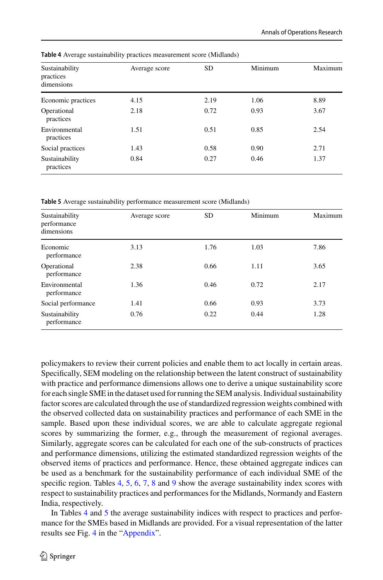<span id="page-11-0"></span>

| Sustainability<br>practices | Average score | <b>SD</b> | Minimum | Maximum |
|-----------------------------|---------------|-----------|---------|---------|
| dimensions                  |               |           |         |         |
| Economic practices          | 4.15          | 2.19      | 1.06    | 8.89    |
| Operational<br>practices    | 2.18          | 0.72      | 0.93    | 3.67    |
| Environmental<br>practices  | 1.51          | 0.51      | 0.85    | 2.54    |
| Social practices            | 1.43          | 0.58      | 0.90    | 2.71    |
| Sustainability<br>practices | 0.84          | 0.27      | 0.46    | 1.37    |

**Table 4** Average sustainability practices measurement score (Midlands)

<span id="page-11-1"></span>**Table 5** Average sustainability performance measurement score (Midlands)

| Sustainability<br>performance<br>dimensions | Average score | <b>SD</b> | Minimum | Maximum |
|---------------------------------------------|---------------|-----------|---------|---------|
| Economic<br>performance                     | 3.13          | 1.76      | 1.03    | 7.86    |
| Operational<br>performance                  | 2.38          | 0.66      | 1.11    | 3.65    |
| Environmental<br>performance                | 1.36          | 0.46      | 0.72    | 2.17    |
| Social performance                          | 1.41          | 0.66      | 0.93    | 3.73    |
| Sustainability<br>performance               | 0.76          | 0.22      | 0.44    | 1.28    |

policymakers to review their current policies and enable them to act locally in certain areas. Specifically, SEM modeling on the relationship between the latent construct of sustainability with practice and performance dimensions allows one to derive a unique sustainability score for each single SME in the dataset used for running the SEM analysis. Individual sustainability factor scores are calculated through the use of standardized regression weights combined with the observed collected data on sustainability practices and performance of each SME in the sample. Based upon these individual scores, we are able to calculate aggregate regional scores by summarizing the former, e.g., through the measurement of regional averages. Similarly, aggregate scores can be calculated for each one of the sub-constructs of practices and performance dimensions, utilizing the estimated standardized regression weights of the observed items of practices and performance. Hence, these obtained aggregate indices can be used as a benchmark for the sustainability performance of each individual SME of the specific region. Tables [4,](#page-11-0) [5,](#page-11-1) [6,](#page-12-0) [7,](#page-12-1) [8](#page-12-2) and [9](#page-13-0) show the average sustainability index scores with respect to sustainability practices and performances for the Midlands, Normandy and Eastern India, respectively.

In Tables [4](#page-11-0) and [5](#page-11-1) the average sustainability indices with respect to practices and performance for the SMEs based in Midlands are provided. For a visual representation of the latter results see Fig. [4](#page-27-1) in the ["Appendix"](#page-22-0).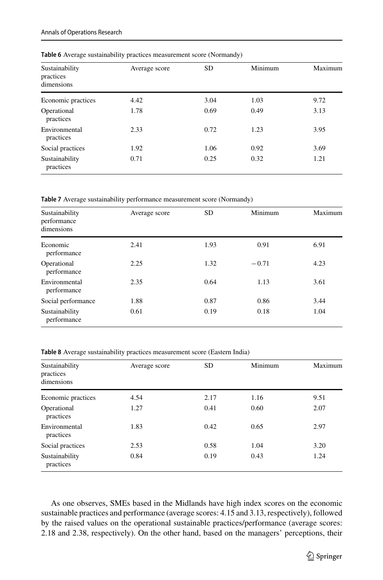<span id="page-12-0"></span>

| Sustainability<br>practices<br>dimensions | Average score | SD.  | Minimum | Maximum |
|-------------------------------------------|---------------|------|---------|---------|
| Economic practices                        | 4.42          | 3.04 | 1.03    | 9.72    |
| Operational<br>practices                  | 1.78          | 0.69 | 0.49    | 3.13    |
| Environmental<br>practices                | 2.33          | 0.72 | 1.23    | 3.95    |
| Social practices                          | 1.92          | 1.06 | 0.92    | 3.69    |
| Sustainability<br>practices               | 0.71          | 0.25 | 0.32    | 1.21    |

**Table 6** Average sustainability practices measurement score (Normandy)

<span id="page-12-1"></span>**Table 7** Average sustainability performance measurement score (Normandy)

| Sustainability<br>performance<br>dimensions | Average score | <b>SD</b> | Minimum | Maximum |
|---------------------------------------------|---------------|-----------|---------|---------|
| Economic<br>performance                     | 2.41          | 1.93      | 0.91    | 6.91    |
| Operational<br>performance                  | 2.25          | 1.32      | $-0.71$ | 4.23    |
| Environmental<br>performance                | 2.35          | 0.64      | 1.13    | 3.61    |
| Social performance                          | 1.88          | 0.87      | 0.86    | 3.44    |
| Sustainability<br>performance               | 0.61          | 0.19      | 0.18    | 1.04    |

**Table 8** Average sustainability practices measurement score (Eastern India)

<span id="page-12-2"></span>

| Sustainability<br>practices<br>dimensions | Average score | <b>SD</b> | Minimum | Maximum |
|-------------------------------------------|---------------|-----------|---------|---------|
| Economic practices                        | 4.54          | 2.17      | 1.16    | 9.51    |
| Operational<br>practices                  | 1.27          | 0.41      | 0.60    | 2.07    |
| Environmental<br>practices                | 1.83          | 0.42      | 0.65    | 2.97    |
| Social practices                          | 2.53          | 0.58      | 1.04    | 3.20    |
| Sustainability<br>practices               | 0.84          | 0.19      | 0.43    | 1.24    |

As one observes, SMEs based in the Midlands have high index scores on the economic sustainable practices and performance (average scores: 4.15 and 3.13, respectively), followed by the raised values on the operational sustainable practices/performance (average scores: 2.18 and 2.38, respectively). On the other hand, based on the managers' perceptions, their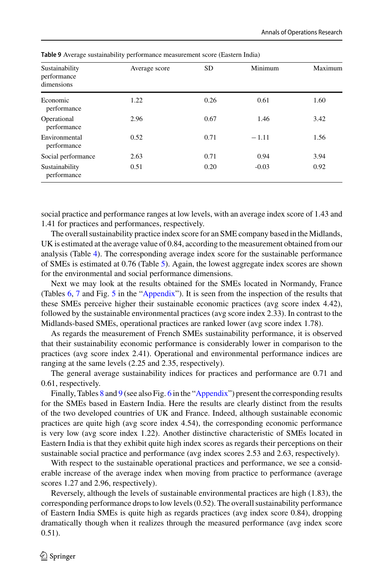<span id="page-13-0"></span>

| Sustainability<br>performance<br>dimensions | Average score | <b>SD</b> | Minimum | Maximum |
|---------------------------------------------|---------------|-----------|---------|---------|
| Economic<br>performance                     | 1.22          | 0.26      | 0.61    | 1.60    |
| Operational<br>performance                  | 2.96          | 0.67      | 1.46    | 3.42    |
| Environmental<br>performance                | 0.52          | 0.71      | $-1.11$ | 1.56    |
| Social performance                          | 2.63          | 0.71      | 0.94    | 3.94    |
| Sustainability<br>performance               | 0.51          | 0.20      | $-0.03$ | 0.92    |

**Table 9** Average sustainability performance measurement score (Eastern India)

social practice and performance ranges at low levels, with an average index score of 1.43 and 1.41 for practices and performances, respectively.

The overall sustainability practice index score for an SME company based in the Midlands, UK is estimated at the average value of 0.84, according to the measurement obtained from our analysis (Table [4\)](#page-11-0). The corresponding average index score for the sustainable performance of SMEs is estimated at 0.76 (Table [5\)](#page-11-1). Again, the lowest aggregate index scores are shown for the environmental and social performance dimensions.

Next we may look at the results obtained for the SMEs located in Normandy, France (Tables [6,](#page-12-0) [7](#page-12-1) and Fig. [5](#page-27-2) in the ["Appendix"](#page-22-0)). It is seen from the inspection of the results that these SMEs perceive higher their sustainable economic practices (avg score index 4.42), followed by the sustainable environmental practices (avg score index 2.33). In contrast to the Midlands-based SMEs, operational practices are ranked lower (avg score index 1.78).

As regards the measurement of French SMEs sustainability performance, it is observed that their sustainability economic performance is considerably lower in comparison to the practices (avg score index 2.41). Operational and environmental performance indices are ranging at the same levels (2.25 and 2.35, respectively).

The general average sustainability indices for practices and performance are 0.71 and 0.61, respectively.

Finally, Tables [8](#page-12-2) and [9](#page-13-0) (see also Fig. [6](#page-27-3) in the ["Appendix"](#page-22-0)) present the corresponding results for the SMEs based in Eastern India. Here the results are clearly distinct from the results of the two developed countries of UK and France. Indeed, although sustainable economic practices are quite high (avg score index 4.54), the corresponding economic performance is very low (avg score index 1.22). Another distinctive characteristic of SMEs located in Eastern India is that they exhibit quite high index scores as regards their perceptions on their sustainable social practice and performance (avg index scores 2.53 and 2.63, respectively).

With respect to the sustainable operational practices and performance, we see a considerable increase of the average index when moving from practice to performance (average scores 1.27 and 2.96, respectively).

Reversely, although the levels of sustainable environmental practices are high (1.83), the corresponding performance drops to low levels (0.52). The overall sustainability performance of Eastern India SMEs is quite high as regards practices (avg index score 0.84), dropping dramatically though when it realizes through the measured performance (avg index score 0.51).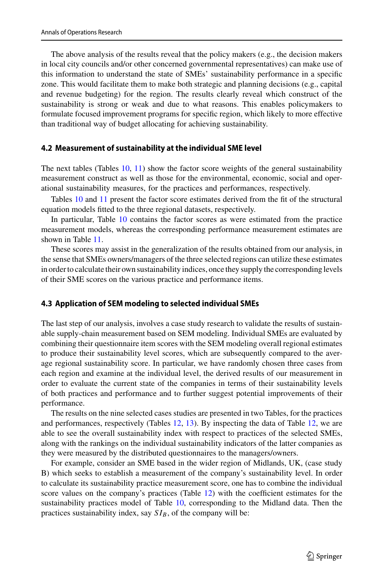The above analysis of the results reveal that the policy makers (e.g., the decision makers in local city councils and/or other concerned governmental representatives) can make use of this information to understand the state of SMEs' sustainability performance in a specific zone. This would facilitate them to make both strategic and planning decisions (e.g., capital and revenue budgeting) for the region. The results clearly reveal which construct of the sustainability is strong or weak and due to what reasons. This enables policymakers to formulate focused improvement programs for specific region, which likely to more effective than traditional way of budget allocating for achieving sustainability.

#### **4.2 Measurement of sustainability at the individual SME level**

The next tables (Tables [10,](#page-15-0) [11\)](#page-16-0) show the factor score weights of the general sustainability measurement construct as well as those for the environmental, economic, social and operational sustainability measures, for the practices and performances, respectively.

Tables [10](#page-15-0) and [11](#page-16-0) present the factor score estimates derived from the fit of the structural equation models fitted to the three regional datasets, respectively.

In particular, Table [10](#page-15-0) contains the factor scores as were estimated from the practice measurement models, whereas the corresponding performance measurement estimates are shown in Table [11.](#page-16-0)

These scores may assist in the generalization of the results obtained from our analysis, in the sense that SMEs owners/managers of the three selected regions can utilize these estimates in order to calculate their own sustainability indices, once they supply the corresponding levels of their SME scores on the various practice and performance items.

#### **4.3 Application of SEM modeling to selected individual SMEs**

The last step of our analysis, involves a case study research to validate the results of sustainable supply-chain measurement based on SEM modeling. Individual SMEs are evaluated by combining their questionnaire item scores with the SEM modeling overall regional estimates to produce their sustainability level scores, which are subsequently compared to the average regional sustainability score. In particular, we have randomly chosen three cases from each region and examine at the individual level, the derived results of our measurement in order to evaluate the current state of the companies in terms of their sustainability levels of both practices and performance and to further suggest potential improvements of their performance.

The results on the nine selected cases studies are presented in two Tables, for the practices and performances, respectively (Tables [12,](#page-18-0) [13\)](#page-19-0). By inspecting the data of Table [12,](#page-18-0) we are able to see the overall sustainability index with respect to practices of the selected SMEs, along with the rankings on the individual sustainability indicators of the latter companies as they were measured by the distributed questionnaires to the managers/owners.

For example, consider an SME based in the wider region of Midlands, UK, (case study B) which seeks to establish a measurement of the company's sustainability level. In order to calculate its sustainability practice measurement score, one has to combine the individual score values on the company's practices (Table [12\)](#page-18-0) with the coefficient estimates for the sustainability practices model of Table [10,](#page-15-0) corresponding to the Midland data. Then the practices sustainability index, say  $SI_B$ , of the company will be: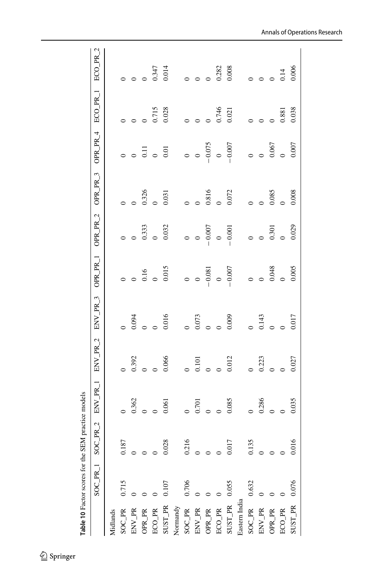<span id="page-15-0"></span>

| i<br>ı      |
|-------------|
| i<br>Î<br>į |
| S           |
|             |
|             |
|             |

|                | Table 10 Factor scores for the SEM |             | practice models |                                                                                  |                                                                                  |                                                                                                                                                                                                                                                                                                                                   |                                                                                                                                                                                                                                                                                                                                       |                                                                                                 |                                                                                  |             |           |
|----------------|------------------------------------|-------------|-----------------|----------------------------------------------------------------------------------|----------------------------------------------------------------------------------|-----------------------------------------------------------------------------------------------------------------------------------------------------------------------------------------------------------------------------------------------------------------------------------------------------------------------------------|---------------------------------------------------------------------------------------------------------------------------------------------------------------------------------------------------------------------------------------------------------------------------------------------------------------------------------------|-------------------------------------------------------------------------------------------------|----------------------------------------------------------------------------------|-------------|-----------|
|                | $SOC_P R_1$                        | <b>FOOS</b> | ENV PR 1        | $ENV$ PR $2$                                                                     | ENV_PR_3                                                                         | OPR_PR_1                                                                                                                                                                                                                                                                                                                          | OPR_PR_2                                                                                                                                                                                                                                                                                                                              | OPR_PR_3                                                                                        | $OPR$ <sub>_<math>PR_4</math></sub>                                              | $ECO_P R_1$ | $ECO_P R$ |
| Midlands       |                                    |             |                 |                                                                                  |                                                                                  |                                                                                                                                                                                                                                                                                                                                   |                                                                                                                                                                                                                                                                                                                                       |                                                                                                 |                                                                                  |             |           |
| SOC_PR         | 0.715                              | 0.187       |                 |                                                                                  |                                                                                  |                                                                                                                                                                                                                                                                                                                                   |                                                                                                                                                                                                                                                                                                                                       |                                                                                                 |                                                                                  |             |           |
| ENV_PR         |                                    |             |                 |                                                                                  | $\begin{array}{c} 0 \\ 0.094 \\ 0 \\ 0 \\ 0 \\ 0.016 \end{array}$                |                                                                                                                                                                                                                                                                                                                                   |                                                                                                                                                                                                                                                                                                                                       |                                                                                                 |                                                                                  |             |           |
| OPR_PR         |                                    |             |                 |                                                                                  |                                                                                  |                                                                                                                                                                                                                                                                                                                                   |                                                                                                                                                                                                                                                                                                                                       |                                                                                                 |                                                                                  |             |           |
| ECO_PR         |                                    |             |                 |                                                                                  |                                                                                  |                                                                                                                                                                                                                                                                                                                                   |                                                                                                                                                                                                                                                                                                                                       |                                                                                                 |                                                                                  |             |           |
| <b>SUST_PR</b> | 0.107                              | 0.028       |                 | $0.392$<br>$0.006$<br>$0.006$<br>$0.010$<br>$0.012$                              |                                                                                  | $\begin{array}{ccc} 0 & 0 & 0 & 0 \\ 0 & 0 & 0 & 0 \\ 0 & 0 & 0 & 0 \\ 0 & 0 & 0 & 0 \\ 0 & 0 & 0 & 0 \\ 0 & 0 & 0 & 0 \\ 0 & 0 & 0 & 0 \\ 0 & 0 & 0 & 0 \\ 0 & 0 & 0 & 0 \\ 0 & 0 & 0 & 0 \\ 0 & 0 & 0 & 0 \\ 0 & 0 & 0 & 0 \\ 0 & 0 & 0 & 0 \\ 0 & 0 & 0 & 0 \\ 0 & 0 & 0 & 0 \\ 0 & 0 & 0 & 0 \\ 0 & 0 & 0 & 0 \\ 0 & 0 & 0 &$ | $\begin{bmatrix} 0 & 0 \\ 0 & 0.333 \\ 0 & 0 \\ 0 & 0.032 \end{bmatrix}$                                                                                                                                                                                                                                                              | $\begin{matrix} 0 \\ 0 \\ 0.326 \\ 0.031 \\ 0.031 \\ 0 \\ 0.816 \\ 0.072 \\ 0.072 \end{matrix}$ | $\begin{bmatrix} 0 & 0 & 0 \\ 0 & 0 & 0 \\ 0 & 0 & 0 \\ 0 & 0 & 0 \end{bmatrix}$ |             |           |
| Normandy       |                                    |             |                 |                                                                                  |                                                                                  |                                                                                                                                                                                                                                                                                                                                   |                                                                                                                                                                                                                                                                                                                                       |                                                                                                 |                                                                                  |             |           |
| SOC_PR         | 0.706                              | 0.216       |                 |                                                                                  |                                                                                  |                                                                                                                                                                                                                                                                                                                                   |                                                                                                                                                                                                                                                                                                                                       |                                                                                                 |                                                                                  |             |           |
| ENV_PR         |                                    |             |                 |                                                                                  |                                                                                  |                                                                                                                                                                                                                                                                                                                                   |                                                                                                                                                                                                                                                                                                                                       |                                                                                                 |                                                                                  |             |           |
| OPR_PR         |                                    |             |                 |                                                                                  |                                                                                  |                                                                                                                                                                                                                                                                                                                                   |                                                                                                                                                                                                                                                                                                                                       |                                                                                                 |                                                                                  |             |           |
| $ECO_P R$      |                                    |             |                 |                                                                                  | $\begin{bmatrix} 0 & 0 & 0 \\ 0.073 & 0 \\ 0 & 0 & 0 \end{bmatrix}$              |                                                                                                                                                                                                                                                                                                                                   |                                                                                                                                                                                                                                                                                                                                       |                                                                                                 |                                                                                  |             |           |
| <b>SUST_PR</b> | 0.055                              | 0.017       |                 |                                                                                  |                                                                                  |                                                                                                                                                                                                                                                                                                                                   | $\begin{bmatrix} 0 & 0 & 0 \\ 0 & 0 & 0 \\ 0 & 0 & 0 \\ 0 & 0 & 0 \\ 0 & 0 & 0 \\ 0 & 0 & 0 \\ 0 & 0 & 0 \\ 0 & 0 & 0 \\ 0 & 0 & 0 \\ 0 & 0 & 0 \\ 0 & 0 & 0 \\ 0 & 0 & 0 \\ 0 & 0 & 0 \\ 0 & 0 & 0 \\ 0 & 0 & 0 \\ 0 & 0 & 0 \\ 0 & 0 & 0 \\ 0 & 0 & 0 \\ 0 & 0 & 0 \\ 0 & 0 & 0 \\ 0 & 0 & 0 \\ 0 & 0 & 0 \\ 0 & 0 & 0 \\ 0 & 0 & $ |                                                                                                 | $\begin{bmatrix} 0 & 0 \\ 0 & -0.075 \\ 0 & 0 \\ -0.007 \end{bmatrix}$           |             |           |
| Eastern India  |                                    |             |                 |                                                                                  |                                                                                  |                                                                                                                                                                                                                                                                                                                                   |                                                                                                                                                                                                                                                                                                                                       |                                                                                                 |                                                                                  |             |           |
| $SOC_PR$       | 0.632                              | 0.135       |                 | $\begin{bmatrix} 0 & 0 & 0 \\ 0 & 0 & 0 \\ 0 & 0 & 0 \\ 0 & 0 & 0 \end{bmatrix}$ |                                                                                  |                                                                                                                                                                                                                                                                                                                                   |                                                                                                                                                                                                                                                                                                                                       |                                                                                                 |                                                                                  |             |           |
| ENV_PR         |                                    |             |                 |                                                                                  |                                                                                  |                                                                                                                                                                                                                                                                                                                                   |                                                                                                                                                                                                                                                                                                                                       |                                                                                                 |                                                                                  |             |           |
| OPR_PR         |                                    |             |                 |                                                                                  |                                                                                  |                                                                                                                                                                                                                                                                                                                                   |                                                                                                                                                                                                                                                                                                                                       |                                                                                                 |                                                                                  |             |           |
| ECO_PR         |                                    |             |                 |                                                                                  | $\begin{bmatrix} 0 & 0 & 0 \\ 0 & 0 & 0 \\ 0 & 0 & 0 \\ 0 & 0 & 0 \end{bmatrix}$ |                                                                                                                                                                                                                                                                                                                                   |                                                                                                                                                                                                                                                                                                                                       | $\begin{array}{c} 0 \\ 0 \\ 0.085 \\ 0.008 \end{array}$                                         | $\begin{bmatrix} 0 & 0 \\ 0 & 0.067 \\ 0.067 & 0 \\ 0 & 0 \end{bmatrix}$         |             |           |
| <b>SUST_PR</b> | 0.076                              | 0.016       |                 |                                                                                  |                                                                                  |                                                                                                                                                                                                                                                                                                                                   |                                                                                                                                                                                                                                                                                                                                       |                                                                                                 |                                                                                  |             |           |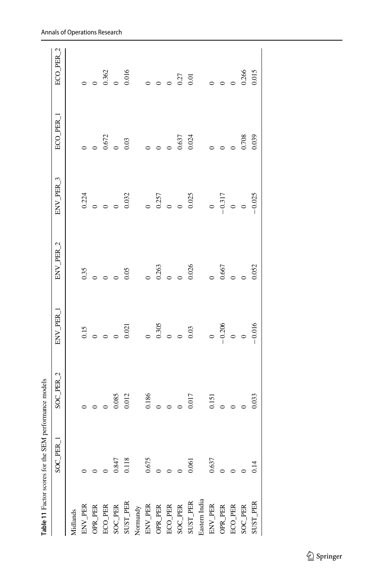<span id="page-16-0"></span>

|                              | Table 11 Factor scores for the SEM | performance models |                                                                 |                                                     |                                                                                      |                                                    |                                                         |
|------------------------------|------------------------------------|--------------------|-----------------------------------------------------------------|-----------------------------------------------------|--------------------------------------------------------------------------------------|----------------------------------------------------|---------------------------------------------------------|
|                              | SOC_PER_1                          | SOC_PER_2          | $ENV\_PER$                                                      | ENV_PER_2                                           | ENV_PER_3                                                                            | ECO_PER_1                                          | ECO_PER                                                 |
| Midlands                     |                                    |                    |                                                                 |                                                     |                                                                                      |                                                    |                                                         |
| ENV_PER                      |                                    |                    |                                                                 |                                                     |                                                                                      |                                                    |                                                         |
| OPR_PER                      |                                    |                    |                                                                 | $\begin{array}{c} 0.35 \\ 0 \end{array}$            | 0.224                                                                                |                                                    |                                                         |
| ECO_PER                      |                                    |                    | $\frac{15}{0}$                                                  |                                                     |                                                                                      | $\frac{0.672}{0.672}$                              | $\begin{array}{c} 0 \\ 0.362 \\ 0 \\ 0.016 \end{array}$ |
| SOC_PER                      | $0.847$<br>0.118                   | 0.085              |                                                                 |                                                     | $\circ$                                                                              |                                                    |                                                         |
| SUST_PER                     |                                    | 0.012              | 0.021                                                           | 0.05                                                | 0.032                                                                                |                                                    |                                                         |
| Normandy                     |                                    |                    |                                                                 |                                                     |                                                                                      |                                                    |                                                         |
| $\mathsf{ENV}\_\mathsf{PER}$ | 0.675                              |                    |                                                                 |                                                     |                                                                                      |                                                    |                                                         |
| OPR_PER                      |                                    | $\frac{86}{0}$     |                                                                 |                                                     |                                                                                      | $\circ$ $\circ$                                    | $\circ$ $\circ$                                         |
| ECO_PER                      |                                    |                    |                                                                 |                                                     |                                                                                      |                                                    |                                                         |
| SOC_PER                      |                                    |                    | $\begin{array}{c} 0 \\ 0.305 \\ 0 \\ 0 \\ 0.03 \end{array}$     | $\begin{array}{c} 0 \\ 0.263 \\ 0 \\ 0 \end{array}$ | $\begin{bmatrix} 0 & 0 & 0 \\ 0 & 0 & 0 \\ 0 & 0 & 0 \\ 0 & 0 & 0.025 \end{bmatrix}$ | $0.637$<br>0.637                                   | $0.27$<br>$0.27$                                        |
| <b>SUST_PER</b>              | 0.061                              | 0.017              |                                                                 | 0.026                                               |                                                                                      |                                                    |                                                         |
| Eastern India                |                                    |                    |                                                                 |                                                     |                                                                                      |                                                    |                                                         |
| ENV_PER                      | 0.637                              |                    |                                                                 |                                                     |                                                                                      |                                                    |                                                         |
| OPR_PER                      |                                    | $\frac{151}{000}$  | $\begin{bmatrix} 0 \\ -0.206 \\ 0 \\ 0 \\ -0.016 \end{bmatrix}$ |                                                     | $-0.317$<br>$-0.317$<br>$0$<br>$-0.025$                                              |                                                    |                                                         |
| ECO_PER                      |                                    |                    |                                                                 |                                                     |                                                                                      |                                                    |                                                         |
| SOC_PER                      |                                    |                    |                                                                 |                                                     |                                                                                      | $\begin{array}{c} 0 \\ 0.708 \\ 0.039 \end{array}$ | $0.266$<br>$0.266$                                      |
| <b>SUST_PER</b>              | 0.14                               | 0.033              |                                                                 |                                                     |                                                                                      |                                                    |                                                         |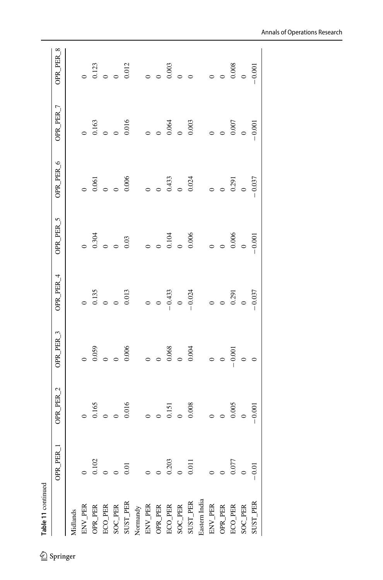| Table 11 continued                              |                                                              |                                                                                                                   |                                                                                    |                                                                |                                                                    |                                                                 |                                                                                  |                                                              |
|-------------------------------------------------|--------------------------------------------------------------|-------------------------------------------------------------------------------------------------------------------|------------------------------------------------------------------------------------|----------------------------------------------------------------|--------------------------------------------------------------------|-----------------------------------------------------------------|----------------------------------------------------------------------------------|--------------------------------------------------------------|
|                                                 | OPR_PER_1                                                    | OPR_PER_2                                                                                                         | OPR_PER_3                                                                          | OPR_PER_4                                                      | OPR_PER_5                                                          | OPR_PER_6                                                       | OPR_PER_7                                                                        | <b>DPR_PER</b>                                               |
| <b>Midlands</b>                                 |                                                              |                                                                                                                   |                                                                                    |                                                                |                                                                    |                                                                 |                                                                                  |                                                              |
| ENV_PER                                         |                                                              |                                                                                                                   |                                                                                    |                                                                |                                                                    |                                                                 |                                                                                  |                                                              |
| $\mathsf{OPR}\_\mathsf{PER}$                    | 0.102                                                        |                                                                                                                   |                                                                                    |                                                                |                                                                    |                                                                 |                                                                                  |                                                              |
| ECO_PER                                         |                                                              |                                                                                                                   |                                                                                    |                                                                |                                                                    |                                                                 |                                                                                  |                                                              |
| $SOC_PER$                                       |                                                              |                                                                                                                   |                                                                                    |                                                                |                                                                    |                                                                 |                                                                                  |                                                              |
| <b>SUST_PER</b>                                 | 0.01                                                         | $\begin{array}{ccc}\n0 & 0.165 \\ 0 & 0.016 \\ 0 & 0.016 \\ 0 & 0 & 0.151 \\ 0 & 0.008 \\ 0 & 0.008\n\end{array}$ | $0.059$<br>$0.059$<br>$0.006$                                                      | $\begin{array}{c} 0 \\ 0.135 \\ 0 \\ 0 \\ 0.013 \end{array}$   | $0.304$<br>$0.003$                                                 | $\begin{array}{c} 0 \\ 0.061 \\ 0 \\ 0 \\ 0.006 \end{array}$    | $\begin{array}{c} 0 \\ 0.163 \\ 0 \\ 0 \\ 0.016 \end{array}$                     | $\begin{array}{c} 0 \\ 0.123 \\ 0 \\ 0 \\ 0.012 \end{array}$ |
| Normandy                                        |                                                              |                                                                                                                   |                                                                                    |                                                                |                                                                    |                                                                 |                                                                                  |                                                              |
| $\mathbf{E}\mathbf{N}\mathbf{V}\_ \mathbf{PER}$ |                                                              |                                                                                                                   |                                                                                    |                                                                |                                                                    |                                                                 |                                                                                  |                                                              |
| OPR_PER                                         | $\begin{array}{c} 0 \\ 0 \\ 0.203 \\ 0 \\ 0.011 \end{array}$ |                                                                                                                   | $0.068$<br>$0.068$<br>$0.004$                                                      |                                                                | $0.104$<br>$0.104$<br>$0.006$                                      |                                                                 |                                                                                  |                                                              |
| $ECO_PER$                                       |                                                              |                                                                                                                   |                                                                                    |                                                                |                                                                    |                                                                 |                                                                                  |                                                              |
| SOC_PER<br>SUST_PER                             |                                                              |                                                                                                                   |                                                                                    |                                                                |                                                                    |                                                                 |                                                                                  |                                                              |
|                                                 |                                                              |                                                                                                                   |                                                                                    | $\begin{array}{c} 0 \\ 0 \\ -0.433 \\ 0 \\ -0.024 \end{array}$ |                                                                    | $0$<br>0.433<br>0.024                                           | $0.064$<br>$0.064$<br>$0.003$                                                    |                                                              |
| Eastern India                                   |                                                              |                                                                                                                   |                                                                                    |                                                                |                                                                    |                                                                 |                                                                                  |                                                              |
| ENV_PER                                         |                                                              |                                                                                                                   |                                                                                    |                                                                |                                                                    | $\overline{0}$                                                  |                                                                                  |                                                              |
| OPR_PER                                         |                                                              |                                                                                                                   | $\begin{array}{c}\n\circ & \circ \\ \circ & \circ \\ \circ & \circ \\ \end{array}$ |                                                                | $\begin{bmatrix} 0 \\ 0 \\ 0.006 \\ 0.006 \\ -0.001 \end{bmatrix}$ | $\begin{bmatrix} 0 & 0 \\ 0.291 & 0 \\ 0 & 0.037 \end{bmatrix}$ | $\begin{bmatrix} 0 & 0 & 0 \\ 0 & 0 & 0 \\ 0 & 0 & 0 \\ 0 & 0 & 0 \end{bmatrix}$ |                                                              |
| ECO_PER                                         | 0.077                                                        |                                                                                                                   |                                                                                    |                                                                |                                                                    |                                                                 |                                                                                  |                                                              |
| SOC_PER                                         |                                                              |                                                                                                                   |                                                                                    |                                                                |                                                                    |                                                                 |                                                                                  |                                                              |
| <b>SUST_PER</b>                                 | $-0.01$                                                      |                                                                                                                   |                                                                                    |                                                                |                                                                    |                                                                 |                                                                                  |                                                              |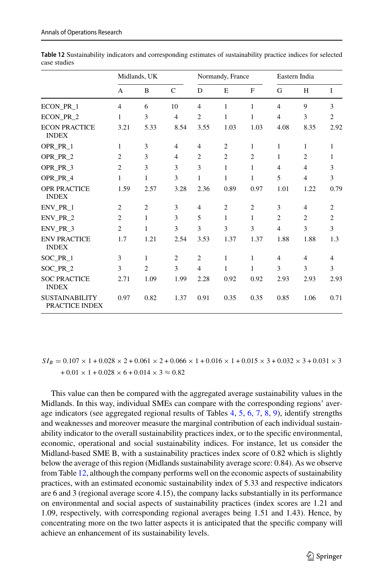|                                         |                | Midlands, UK   |                |                | Normandy, France |                |                          | Eastern India  |                |
|-----------------------------------------|----------------|----------------|----------------|----------------|------------------|----------------|--------------------------|----------------|----------------|
|                                         | A              | B              | $\mathsf{C}$   | D              | E                | F              | G                        | H              | I              |
| ECON_PR_1                               | $\overline{4}$ | 6              | 10             | 4              | 1                | 1              | $\overline{4}$           | 9              | 3              |
| ECON_PR_2                               | 1              | 3              | $\overline{4}$ | $\overline{c}$ | 1                | 1              | $\overline{\mathcal{L}}$ | 3              | $\overline{c}$ |
| <b>ECON PRACTICE</b><br><b>INDEX</b>    | 3.21           | 5.33           | 8.54           | 3.55           | 1.03             | 1.03           | 4.08                     | 8.35           | 2.92           |
| OPR_PR_1                                | 1              | 3              | $\overline{4}$ | $\overline{4}$ | $\overline{c}$   | 1              | 1                        | 1              | 1              |
| OPR_PR_2                                | $\overline{2}$ | 3              | $\overline{4}$ | $\overline{2}$ | $\overline{2}$   | $\overline{c}$ | 1                        | $\overline{c}$ | 1              |
| OPR_PR_3                                | $\overline{c}$ | 3              | 3              | 3              | 1                | 1              | $\overline{4}$           | $\overline{4}$ | 3              |
| OPR_PR_4                                | 1              | 1              | 3              | $\mathbf{1}$   | 1                | 1              | 5                        | $\overline{4}$ | 3              |
| <b>OPR PRACTICE</b><br><b>INDEX</b>     | 1.59           | 2.57           | 3.28           | 2.36           | 0.89             | 0.97           | 1.01                     | 1.22           | 0.79           |
| ENV_PR_1                                | 2              | $\overline{c}$ | 3              | $\overline{4}$ | $\overline{2}$   | $\overline{2}$ | 3                        | $\overline{4}$ | $\overline{2}$ |
| ENV_PR_2                                | $\overline{2}$ | $\mathbf{1}$   | 3              | 5              | 1                | 1              | $\overline{c}$           | $\overline{c}$ | $\overline{c}$ |
| ENV_PR_3                                | $\overline{2}$ | 1              | 3              | 3              | 3                | 3              | $\overline{\mathbf{4}}$  | 3              | 3              |
| <b>ENV PRACTICE</b><br><b>INDEX</b>     | 1.7            | 1.21           | 2.54           | 3.53           | 1.37             | 1.37           | 1.88                     | 1.88           | 1.3            |
| SOC_PR_1                                | 3              | $\mathbf{1}$   | $\overline{2}$ | $\overline{2}$ | 1                | 1              | $\overline{4}$           | $\overline{4}$ | $\overline{4}$ |
| SOC_PR_2                                | 3              | $\overline{c}$ | 3              | $\overline{4}$ | 1                | 1              | 3                        | 3              | 3              |
| <b>SOC PRACTICE</b><br><b>INDEX</b>     | 2.71           | 1.09           | 1.99           | 2.28           | 0.92             | 0.92           | 2.93                     | 2.93           | 2.93           |
| <b>SUSTAINABILITY</b><br>PRACTICE INDEX | 0.97           | 0.82           | 1.37           | 0.91           | 0.35             | 0.35           | 0.85                     | 1.06           | 0.71           |

<span id="page-18-0"></span>**Table 12** Sustainability indicators and corresponding estimates of sustainability practice indices for selected case studies

#### $SI_B = 0.107 \times 1 + 0.028 \times 2 + 0.061 \times 2 + 0.066 \times 1 + 0.016 \times 1 + 0.015 \times 3 + 0.032 \times 3 + 0.031 \times 3$  $+0.01 \times 1 + 0.028 \times 6 + 0.014 \times 3 \approx 0.82$

This value can then be compared with the aggregated average sustainability values in the Midlands. In this way, individual SMEs can compare with the corresponding regions' average indicators (see aggregated regional results of Tables [4,](#page-11-0) [5,](#page-11-1) [6,](#page-12-0) [7,](#page-12-1) [8,](#page-12-2) [9\)](#page-13-0), identify strengths and weaknesses and moreover measure the marginal contribution of each individual sustainability indicator to the overall sustainability practices index, or to the specific environmental, economic, operational and social sustainability indices. For instance, let us consider the Midland-based SME B, with a sustainability practices index score of 0.82 which is slightly below the average of this region (Midlands sustainability average score: 0.84). As we observe from Table [12,](#page-18-0) although the company performs well on the economic aspects of sustainability practices, with an estimated economic sustainability index of 5.33 and respective indicators are 6 and 3 (regional average score 4.15), the company lacks substantially in its performance on environmental and social aspects of sustainability practices (index scores are 1.21 and 1.09, respectively, with corresponding regional averages being 1.51 and 1.43). Hence, by concentrating more on the two latter aspects it is anticipated that the specific company will achieve an enhancement of its sustainability levels.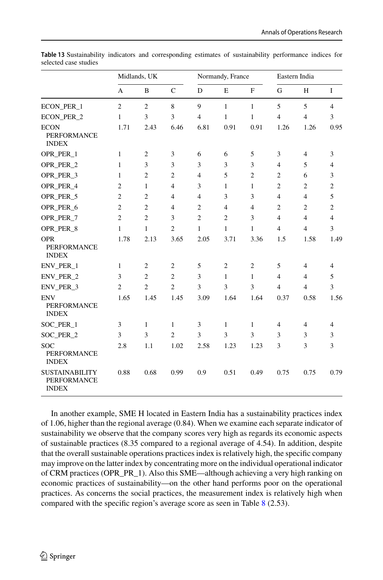|                                                      |                | Midlands, UK   |                |                | Normandy, France |                |                | Eastern India  |                |
|------------------------------------------------------|----------------|----------------|----------------|----------------|------------------|----------------|----------------|----------------|----------------|
|                                                      | $\mathbf{A}$   | B              | $\mathbf C$    | D              | E                | $\mathbf{F}$   | $\mathbf G$    | H              | $\bf I$        |
| ECON_PER_1                                           | $\overline{2}$ | $\overline{c}$ | 8              | 9              | $\mathbf{1}$     | $\mathbf{1}$   | 5              | 5              | $\overline{4}$ |
| <b>ECON PER 2</b>                                    | 1              | 3              | 3              | $\overline{4}$ | 1                | $\mathbf{1}$   | $\overline{4}$ | $\overline{4}$ | 3              |
| <b>ECON</b><br>PERFORMANCE<br><b>INDEX</b>           | 1.71           | 2.43           | 6.46           | 6.81           | 0.91             | 0.91           | 1.26           | 1.26           | 0.95           |
| OPR_PER_1                                            | 1              | 2              | 3              | 6              | 6                | 5              | 3              | $\overline{4}$ | 3              |
| OPR_PER_2                                            | 1              | 3              | 3              | 3              | 3                | 3              | $\overline{4}$ | 5              | $\overline{4}$ |
| OPR PER 3                                            | 1              | $\overline{c}$ | $\overline{2}$ | $\overline{4}$ | 5                | $\overline{2}$ | $\overline{2}$ | 6              | 3              |
| OPR_PER_4                                            | $\overline{2}$ | $\mathbf{1}$   | $\overline{4}$ | 3              | $\mathbf{1}$     | $\mathbf{1}$   | $\overline{c}$ | $\overline{2}$ | $\overline{c}$ |
| OPR_PER_5                                            | $\overline{c}$ | $\overline{c}$ | 4              | $\overline{4}$ | 3                | 3              | $\overline{4}$ | $\overline{4}$ | 5              |
| OPR PER 6                                            | $\overline{2}$ | $\overline{2}$ | $\overline{4}$ | $\overline{c}$ | $\overline{4}$   | $\overline{4}$ | $\overline{c}$ | $\overline{2}$ | $\overline{c}$ |
| OPR_PER_7                                            | $\overline{c}$ | $\overline{c}$ | 3              | $\overline{c}$ | $\mathfrak{2}$   | 3              | $\overline{4}$ | $\overline{4}$ | $\overline{4}$ |
| OPR PER 8                                            | 1              | 1              | $\mathfrak{2}$ | 1              | 1                | $\mathbf{1}$   | 4              | $\overline{4}$ | 3              |
| <b>OPR</b><br><b>PERFORMANCE</b><br><b>INDEX</b>     | 1.78           | 2.13           | 3.65           | 2.05           | 3.71             | 3.36           | 1.5            | 1.58           | 1.49           |
| ENV_PER_1                                            | 1              | $\overline{2}$ | $\mathfrak{2}$ | 5              | $\overline{2}$   | $\mathbf{2}$   | 5              | $\overline{4}$ | $\overline{4}$ |
| ENV_PER_2                                            | 3              | $\overline{c}$ | $\overline{c}$ | 3              | $\mathbf{1}$     | $\mathbf{1}$   | $\overline{4}$ | $\overline{4}$ | 5              |
| ENV_PER_3                                            | $\overline{2}$ | $\overline{2}$ | $\overline{c}$ | 3              | 3                | 3              | $\overline{4}$ | $\overline{4}$ | 3              |
| <b>ENV</b><br>PERFORMANCE<br><b>INDEX</b>            | 1.65           | 1.45           | 1.45           | 3.09           | 1.64             | 1.64           | 0.37           | 0.58           | 1.56           |
| SOC_PER_1                                            | 3              | $\mathbf{1}$   | 1              | 3              | $\mathbf{1}$     | $\mathbf{1}$   | $\overline{4}$ | $\overline{4}$ | 4              |
| SOC_PER_2                                            | 3              | 3              | $\overline{c}$ | 3              | 3                | 3              | 3              | 3              | 3              |
| SOC<br><b>PERFORMANCE</b><br><b>INDEX</b>            | 2.8            | 1.1            | 1.02           | 2.58           | 1.23             | 1.23           | 3              | 3              | 3              |
| <b>SUSTAINABILITY</b><br>PERFORMANCE<br><b>INDEX</b> | 0.88           | 0.68           | 0.99           | 0.9            | 0.51             | 0.49           | 0.75           | 0.75           | 0.79           |

<span id="page-19-0"></span>**Table 13** Sustainability indicators and corresponding estimates of sustainability performance indices for selected case studies

In another example, SME H located in Eastern India has a sustainability practices index of 1.06, higher than the regional average (0.84). When we examine each separate indicator of sustainability we observe that the company scores very high as regards its economic aspects of sustainable practices (8.35 compared to a regional average of 4.54). In addition, despite that the overall sustainable operations practices index is relatively high, the specific company may improve on the latter index by concentrating more on the individual operational indicator of CRM practices (OPR\_PR\_1). Also this SME—although achieving a very high ranking on economic practices of sustainability—on the other hand performs poor on the operational practices. As concerns the social practices, the measurement index is relatively high when compared with the specific region's average score as seen in Table [8](#page-12-2) (2.53).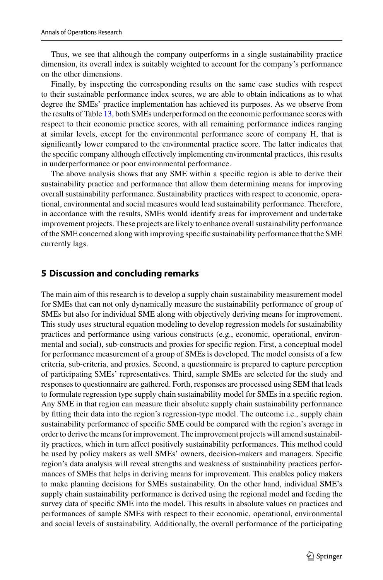Thus, we see that although the company outperforms in a single sustainability practice dimension, its overall index is suitably weighted to account for the company's performance on the other dimensions.

Finally, by inspecting the corresponding results on the same case studies with respect to their sustainable performance index scores, we are able to obtain indications as to what degree the SMEs' practice implementation has achieved its purposes. As we observe from the results of Table [13,](#page-19-0) both SMEs underperformed on the economic performance scores with respect to their economic practice scores, with all remaining performance indices ranging at similar levels, except for the environmental performance score of company H, that is significantly lower compared to the environmental practice score. The latter indicates that the specific company although effectively implementing environmental practices, this results in underperformance or poor environmental performance.

The above analysis shows that any SME within a specific region is able to derive their sustainability practice and performance that allow them determining means for improving overall sustainability performance. Sustainability practices with respect to economic, operational, environmental and social measures would lead sustainability performance. Therefore, in accordance with the results, SMEs would identify areas for improvement and undertake improvement projects. These projects are likely to enhance overall sustainability performance of the SME concerned along with improving specific sustainability performance that the SME currently lags.

#### <span id="page-20-0"></span>**5 Discussion and concluding remarks**

The main aim of this research is to develop a supply chain sustainability measurement model for SMEs that can not only dynamically measure the sustainability performance of group of SMEs but also for individual SME along with objectively deriving means for improvement. This study uses structural equation modeling to develop regression models for sustainability practices and performance using various constructs (e.g., economic, operational, environmental and social), sub-constructs and proxies for specific region. First, a conceptual model for performance measurement of a group of SMEs is developed. The model consists of a few criteria, sub-criteria, and proxies. Second, a questionnaire is prepared to capture perception of participating SMEs' representatives. Third, sample SMEs are selected for the study and responses to questionnaire are gathered. Forth, responses are processed using SEM that leads to formulate regression type supply chain sustainability model for SMEs in a specific region. Any SME in that region can measure their absolute supply chain sustainability performance by fitting their data into the region's regression-type model. The outcome i.e., supply chain sustainability performance of specific SME could be compared with the region's average in order to derive the means for improvement. The improvement projects will amend sustainability practices, which in turn affect positively sustainability performances. This method could be used by policy makers as well SMEs' owners, decision-makers and managers. Specific region's data analysis will reveal strengths and weakness of sustainability practices performances of SMEs that helps in deriving means for improvement. This enables policy makers to make planning decisions for SMEs sustainability. On the other hand, individual SME's supply chain sustainability performance is derived using the regional model and feeding the survey data of specific SME into the model. This results in absolute values on practices and performances of sample SMEs with respect to their economic, operational, environmental and social levels of sustainability. Additionally, the overall performance of the participating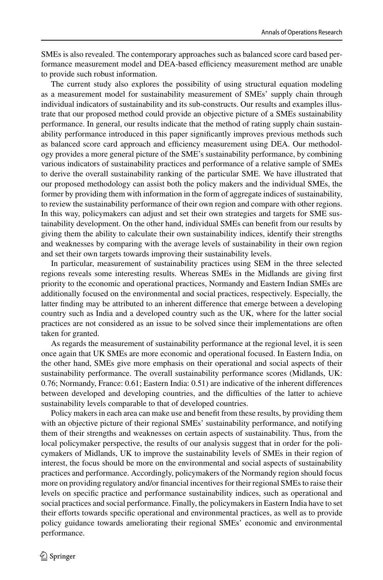SMEs is also revealed. The contemporary approaches such as balanced score card based performance measurement model and DEA-based efficiency measurement method are unable to provide such robust information.

The current study also explores the possibility of using structural equation modeling as a measurement model for sustainability measurement of SMEs' supply chain through individual indicators of sustainability and its sub-constructs. Our results and examples illustrate that our proposed method could provide an objective picture of a SMEs sustainability performance. In general, our results indicate that the method of rating supply chain sustainability performance introduced in this paper significantly improves previous methods such as balanced score card approach and efficiency measurement using DEA. Our methodology provides a more general picture of the SME's sustainability performance, by combining various indicators of sustainability practices and performance of a relative sample of SMEs to derive the overall sustainability ranking of the particular SME. We have illustrated that our proposed methodology can assist both the policy makers and the individual SMEs, the former by providing them with information in the form of aggregate indices of sustainability, to review the sustainability performance of their own region and compare with other regions. In this way, policymakers can adjust and set their own strategies and targets for SME sustainability development. On the other hand, individual SMEs can benefit from our results by giving them the ability to calculate their own sustainability indices, identify their strengths and weaknesses by comparing with the average levels of sustainability in their own region and set their own targets towards improving their sustainability levels.

In particular, measurement of sustainability practices using SEM in the three selected regions reveals some interesting results. Whereas SMEs in the Midlands are giving first priority to the economic and operational practices, Normandy and Eastern Indian SMEs are additionally focused on the environmental and social practices, respectively. Especially, the latter finding may be attributed to an inherent difference that emerge between a developing country such as India and a developed country such as the UK, where for the latter social practices are not considered as an issue to be solved since their implementations are often taken for granted.

As regards the measurement of sustainability performance at the regional level, it is seen once again that UK SMEs are more economic and operational focused. In Eastern India, on the other hand, SMEs give more emphasis on their operational and social aspects of their sustainability performance. The overall sustainability performance scores (Midlands, UK: 0.76; Normandy, France: 0.61; Eastern India: 0.51) are indicative of the inherent differences between developed and developing countries, and the difficulties of the latter to achieve sustainability levels comparable to that of developed countries.

Policy makers in each area can make use and benefit from these results, by providing them with an objective picture of their regional SMEs' sustainability performance, and notifying them of their strengths and weaknesses on certain aspects of sustainability. Thus, from the local policymaker perspective, the results of our analysis suggest that in order for the policymakers of Midlands, UK to improve the sustainability levels of SMEs in their region of interest, the focus should be more on the environmental and social aspects of sustainability practices and performance. Accordingly, policymakers of the Normandy region should focus more on providing regulatory and/or financial incentives for their regional SMEs to raise their levels on specific practice and performance sustainability indices, such as operational and social practices and social performance. Finally, the policymakers in Eastern India have to set their efforts towards specific operational and environmental practices, as well as to provide policy guidance towards ameliorating their regional SMEs' economic and environmental performance.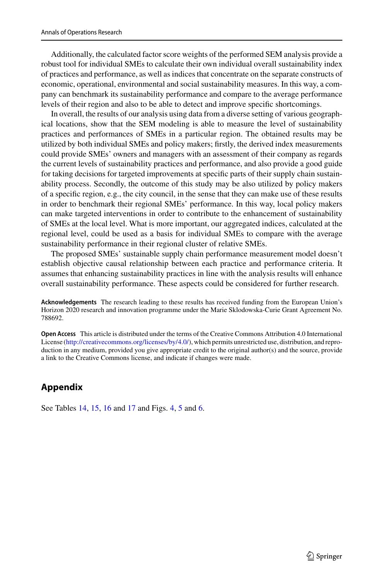Additionally, the calculated factor score weights of the performed SEM analysis provide a robust tool for individual SMEs to calculate their own individual overall sustainability index of practices and performance, as well as indices that concentrate on the separate constructs of economic, operational, environmental and social sustainability measures. In this way, a company can benchmark its sustainability performance and compare to the average performance levels of their region and also to be able to detect and improve specific shortcomings.

In overall, the results of our analysis using data from a diverse setting of various geographical locations, show that the SEM modeling is able to measure the level of sustainability practices and performances of SMEs in a particular region. The obtained results may be utilized by both individual SMEs and policy makers; firstly, the derived index measurements could provide SMEs' owners and managers with an assessment of their company as regards the current levels of sustainability practices and performance, and also provide a good guide for taking decisions for targeted improvements at specific parts of their supply chain sustainability process. Secondly, the outcome of this study may be also utilized by policy makers of a specific region, e.g., the city council, in the sense that they can make use of these results in order to benchmark their regional SMEs' performance. In this way, local policy makers can make targeted interventions in order to contribute to the enhancement of sustainability of SMEs at the local level. What is more important, our aggregated indices, calculated at the regional level, could be used as a basis for individual SMEs to compare with the average sustainability performance in their regional cluster of relative SMEs.

The proposed SMEs' sustainable supply chain performance measurement model doesn't establish objective causal relationship between each practice and performance criteria. It assumes that enhancing sustainability practices in line with the analysis results will enhance overall sustainability performance. These aspects could be considered for further research.

**Acknowledgements** The research leading to these results has received funding from the European Union's Horizon 2020 research and innovation programme under the Marie Sklodowska-Curie Grant Agreement No. 788692.

**Open Access** This article is distributed under the terms of the Creative Commons Attribution 4.0 International License [\(http://creativecommons.org/licenses/by/4.0/\)](http://creativecommons.org/licenses/by/4.0/), which permits unrestricted use, distribution, and reproduction in any medium, provided you give appropriate credit to the original author(s) and the source, provide a link to the Creative Commons license, and indicate if changes were made.

# <span id="page-22-0"></span>**Appendix**

See Tables [14,](#page-23-0) [15,](#page-24-0) [16](#page-25-0) and [17](#page-26-0) and Figs. [4,](#page-27-1) [5](#page-27-2) and [6.](#page-27-3)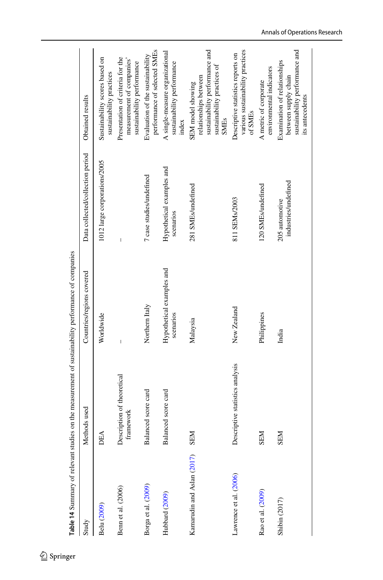<span id="page-23-0"></span>

|                            |                                         | Table 14 Summary of relevant studies on the measurement of sustainability performance of companies |                                        |                                                                                                                                       |
|----------------------------|-----------------------------------------|----------------------------------------------------------------------------------------------------|----------------------------------------|---------------------------------------------------------------------------------------------------------------------------------------|
| Study                      | Methods used                            | Countries/regions covered                                                                          | Data collected/collection period       | Obtained results                                                                                                                      |
| <b>Belu</b> (2009)         | DEA                                     | Worldwide                                                                                          | 1012 large corporations/2005           | Sustainability scores based on<br>sustainability practices                                                                            |
| Benn et al. (2006)         | Description of theoretical<br>tramework | Ï                                                                                                  | Ï                                      | Presentation of criteria for the<br>measurement of companies'<br>sustainability performance                                           |
| Borga et al. (2009)        | Balanced score card                     | Northern Italy                                                                                     | 7 case studies/undefined               | performance of selected SMEs<br>Evaluation of the sustainability                                                                      |
| Hubbard (2009)             | Balanced score card                     | Hypothetical examples and<br>scenarios                                                             | Hypothetical examples and<br>scenarios | A single-measure organizational<br>sustainability performance<br>index                                                                |
| Kamarudin and Aslan (2017) | <b>NES</b>                              | Malaysia                                                                                           | 281 SMEs/undefined                     | sustainability performance and<br>sustainability practices of<br>relationships between<br>SEM model showing<br><b>SME<sub>s</sub></b> |
| Lawrence et al. (2006)     | Descriptive statistics analysis         | New Zealand                                                                                        | 811 SEMs/2003                          | various sustainability practices<br>Descriptive statistics reports on<br>of SME <sub>s</sub>                                          |
| Rao et al. (2009)          | <b>NES</b>                              | Philippines                                                                                        | 120 SMEs/undefined                     | environmental indicators<br>A metric of corporate                                                                                     |
| Shibin (2017)              | <b>NES</b>                              | India                                                                                              | industries/undefined<br>205 automotive | sustainability performance and<br>Examination of relationships<br>between supply chain<br>its antecedents                             |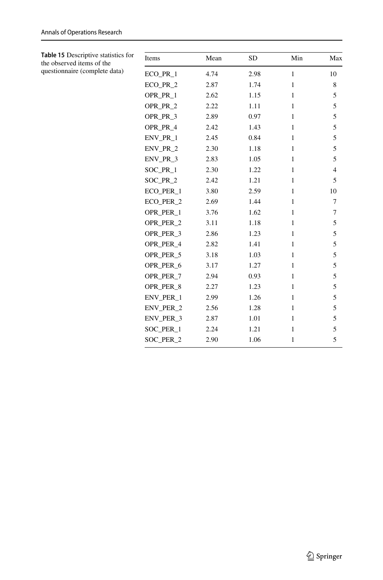<span id="page-24-0"></span>**Table 15** Descriptive statistics for the observed items of the questionnaire (complete data)

| Items                   | Mean | <b>SD</b> | Min          | Max            |
|-------------------------|------|-----------|--------------|----------------|
| ECO PR 1                | 4.74 | 2.98      | $\mathbf{1}$ | 10             |
| ECO_PR_2                | 2.87 | 1.74      | $\mathbf{1}$ | 8              |
| OPR PR 1                | 2.62 | 1.15      | $\mathbf{1}$ | 5              |
| OPR PR 2                | 2.22 | 1.11      | $\mathbf{1}$ | 5              |
| OPR_PR_3                | 2.89 | 0.97      | $\mathbf{1}$ | 5              |
| OPR_PR_4                | 2.42 | 1.43      | $\mathbf{1}$ | 5              |
| ENV PR 1                | 2.45 | 0.84      | 1            | 5              |
| ENV_PR_2                | 2.30 | 1.18      | $\mathbf{1}$ | 5              |
| $ENV$ <sub>PR</sub> $3$ | 2.83 | 1.05      | 1            | 5              |
| SOC_PR_1                | 2.30 | 1.22      | $\mathbf{1}$ | $\overline{4}$ |
| SOC_PR_2                | 2.42 | 1.21      | 1            | 5              |
| ECO_PER_1               | 3.80 | 2.59      | 1            | 10             |
| ECO_PER_2               | 2.69 | 1.44      | $\mathbf{1}$ | 7              |
| OPR_PER_1               | 3.76 | 1.62      | 1            | 7              |
| OPR_PER_2               | 3.11 | 1.18      | $\mathbf{1}$ | 5              |
| OPR PER 3               | 2.86 | 1.23      | $\mathbf{1}$ | 5              |
| OPR_PER_4               | 2.82 | 1.41      | 1            | 5              |
| OPR PER 5               | 3.18 | 1.03      | 1            | 5              |
| OPR_PER_6               | 3.17 | 1.27      | $\mathbf{1}$ | 5              |
| OPR_PER_7               | 2.94 | 0.93      | 1            | 5              |
| OPR_PER_8               | 2.27 | 1.23      | $\mathbf{1}$ | 5              |
| ENV_PER_1               | 2.99 | 1.26      | $\mathbf{1}$ | 5              |
| ENV_PER_2               | 2.56 | 1.28      | $\mathbf{1}$ | 5              |
| ENV_PER_3               | 2.87 | 1.01      | $\mathbf{1}$ | 5              |
| SOC_PER_1               | 2.24 | 1.21      | $\mathbf{1}$ | 5              |
| SOC_PER_2               | 2.90 | 1.06      | 1            | 5              |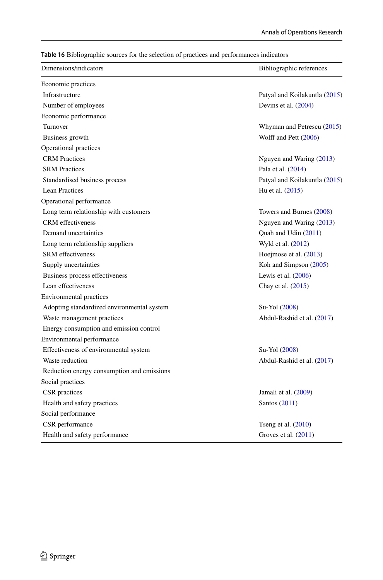**Table 16** Bibliographic sources for the selection of practices and performances indicators

<span id="page-25-0"></span>

| Dimensions/indicators                      | Bibliographic references      |
|--------------------------------------------|-------------------------------|
| Economic practices                         |                               |
| Infrastructure                             | Patyal and Koilakuntla (2015) |
| Number of employees                        | Devins et al. (2004)          |
| Economic performance                       |                               |
| Turnover                                   | Whyman and Petrescu (2015)    |
| Business growth                            | Wolff and Pett (2006)         |
| Operational practices                      |                               |
| <b>CRM</b> Practices                       | Nguyen and Waring (2013)      |
| <b>SRM</b> Practices                       | Pala et al. (2014)            |
| Standardised business process              | Patyal and Koilakuntla (2015) |
| <b>Lean Practices</b>                      | Hu et al. (2015)              |
| Operational performance                    |                               |
| Long term relationship with customers      | Towers and Burnes (2008)      |
| <b>CRM</b> effectiveness                   | Nguyen and Waring (2013)      |
| Demand uncertainties                       | Quah and Udin (2011)          |
| Long term relationship suppliers           | Wyld et al. (2012)            |
| <b>SRM</b> effectiveness                   | Hoejmose et al. $(2013)$      |
| Supply uncertainties                       | Koh and Simpson (2005)        |
| Business process effectiveness             | Lewis et al. $(2006)$         |
| Lean effectiveness                         | Chay et al. (2015)            |
| <b>Environmental practices</b>             |                               |
| Adopting standardized environmental system | Su-Yol (2008)                 |
| Waste management practices                 | Abdul-Rashid et al. (2017)    |
| Energy consumption and emission control    |                               |
| Environmental performance                  |                               |
| Effectiveness of environmental system      | Su-Yol (2008)                 |
| Waste reduction                            | Abdul-Rashid et al. (2017)    |
| Reduction energy consumption and emissions |                               |
| Social practices                           |                               |
| CSR practices                              | Jamali et al. (2009)          |
| Health and safety practices                | Santos $(2011)$               |
| Social performance                         |                               |
| CSR performance                            | Tseng et al. (2010)           |
| Health and safety performance              | Groves et al. $(2011)$        |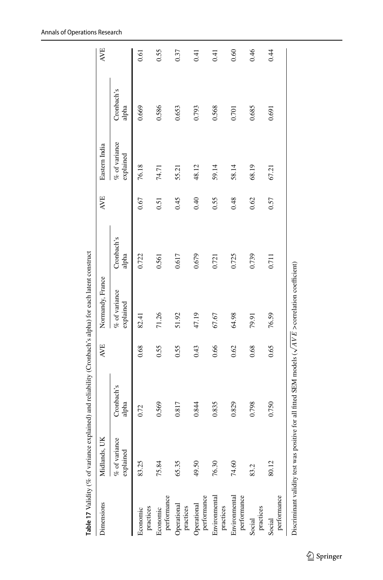<span id="page-26-0"></span>

|                              |                            | Table 17 Validity (% of variance explained) and reliability (Cronbach's alpha) for each latent construct   |            |                            |                     |            |                            |                     |            |
|------------------------------|----------------------------|------------------------------------------------------------------------------------------------------------|------------|----------------------------|---------------------|------------|----------------------------|---------------------|------------|
| Dimensions                   | Midlands, UK               |                                                                                                            | <b>AVE</b> | Normandy, France           |                     | <b>AVE</b> | Eastern India              |                     | <b>AVE</b> |
|                              | % of variance<br>explained | Cronbach's<br>alpha                                                                                        |            | % of variance<br>explained | Cronbach's<br>alpha |            | % of variance<br>explained | Cronbach's<br>alpha |            |
| practices<br>Economic        | 83.25                      | 0.72                                                                                                       | 0.68       | 82.41                      | 0.722               | 0.67       | 76.18                      | 0.669               | 0.61       |
| performance<br>Economic      | 75.84                      | 0.569                                                                                                      | 0.55       | 71.26                      | 0.561               | 0.51       | 74.71                      | 0.586               | 0.55       |
| Operational<br>practices     | 65.35                      | 0.817                                                                                                      | 0.55       | 51.92                      | 0.617               | 0.45       | 55.21                      | 0.653               | 0.37       |
| performance<br>Operational   | 49.50                      | 0.844                                                                                                      | 0.43       | 47.19                      | 0.679               | 0.40       | 48.12                      | 0.793               | 0.41       |
| Environmental<br>practices   | 76.30                      | 0.835                                                                                                      | 0.66       | 67.67                      | 0.721               | 0.55       | 59.14                      | 0.568               | $-11$      |
| performance<br>Environmental | 74.60                      | 0.829                                                                                                      | 0.62       | 64.98                      | 0.725               | 0.48       | 58.14                      | 0.701               | 0.60       |
| practices<br>Social          | 83.2                       | 0.798                                                                                                      | 0.68       | 79.91                      | 0.739               | 0.62       | 68.19                      | 0.685               | 0.46       |
| performance<br>Social        | 80.12                      | 0.750                                                                                                      | 0.65       | 76.59                      | 0.711               | 0.57       | 67.21                      | 0.691               | 0.44       |
|                              |                            | Discriminant validity test was positive for all fitted SEM models $(\sqrt{AVE} >$ correlation coefficient) |            |                            |                     |            |                            |                     |            |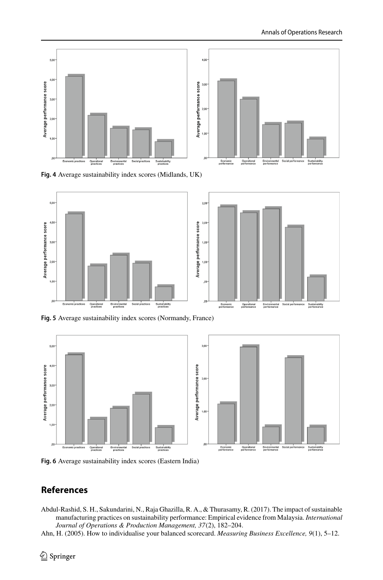

<span id="page-27-1"></span>**Fig. 4** Average sustainability index scores (Midlands, UK)



<span id="page-27-2"></span>**Fig. 5** Average sustainability index scores (Normandy, France)



<span id="page-27-3"></span>**Fig. 6** Average sustainability index scores (Eastern India)

# **References**

<span id="page-27-4"></span>Abdul-Rashid, S. H., Sakundarini, N., Raja Ghazilla, R. A., & Thurasamy, R. (2017). The impact of sustainable manufacturing practices on sustainability performance: Empirical evidence from Malaysia. *International Journal of Operations & Production Management, 37*(2), 182–204.

<span id="page-27-0"></span>Ahn, H. (2005). How to individualise your balanced scorecard. *Measuring Business Excellence, 9*(1), 5–12.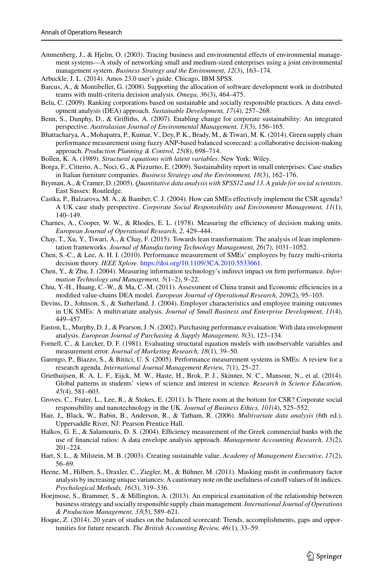- <span id="page-28-0"></span>Ammenberg, J., & Hjelm, O. (2003). Tracing business and environmental effects of environmental management systems—A study of networking small and medium-sized enterprises using a joint environmental management system. *Business Strategy and the Environment, 12*(3), 163–174.
- <span id="page-28-18"></span>Arbuckle, J. L. (2014). Amos 23.0 user's guide. Chicago, IBM SPSS.
- <span id="page-28-10"></span>Barcus, A., & Montibeller, G. (2008). Supporting the allocation of software development work in distributed teams with multi-criteria decision analysis. *Omega, 36*(3), 464–475.
- <span id="page-28-4"></span>Belu, C. (2009). Ranking corporations based on sustainable and socially responsible practices. A data envelopment analysis (DEA) approach. *Sustainable Development, 17*(4), 257–268.
- <span id="page-28-14"></span>Benn, S., Dunphy, D., & Griffiths, A. (2007). Enabling change for corporate sustainability: An integrated perspective. *Australasian Journal of Environmental Management, 13*(3), 156–165.
- <span id="page-28-3"></span>Bhattacharya, A., Mohapatra, P., Kumar, V., Dey, P. K., Brady, M., & Tiwari, M. K. (2014). Green supply chain performance measurement using fuzzy ANP-based balanced scorecard: a collaborative decision-making approach. *Production Planning & Control, 25*(8), 698–714.

<span id="page-28-17"></span>Bollen, K. A. (1989). *Structural equations with latent variables*. New York: Wiley.

- <span id="page-28-12"></span>Borga, F., Citterio, A., Noci, G., & Pizzurno, E. (2009). Sustainability report in small enterprises: Case studies in Italian furniture companies. *Business Strategy and the Environment, 18*(3), 162–176.
- <span id="page-28-20"></span>Bryman, A., & Cramer, D. (2005). *Quantitative data analysis with SPSS12 and 13. A guide for social scientists*. East Sussex: Routledge.
- <span id="page-28-1"></span>Castka, P., Balzarova, M. A., & Bamber, C. J. (2004). How can SMEs effectively implement the CSR agenda? A UK case study perspective. *Corporate Social Responsibility and Environment Management, 11*(1), 140–149.
- <span id="page-28-15"></span>Charnes, A., Cooper, W. W., & Rhodes, E. L. (1978). Measuring the efficiency of decision making units. *European Journal of Operational Research, 2,* 429–444.
- <span id="page-28-25"></span>Chay, T., Xu, Y., Tiwari, A., & Chay, F. (2015). Towards lean transformation: The analysis of lean implementation frameworks. *Journal of Manufacturing Technology Management, 26*(7), 1031–1052.
- <span id="page-28-11"></span>Chen, S.-C., & Lee, A. H. I. (2010). Performance measurement of SMEs' employees by fuzzy multi-criteria decision theory. *IEEE Xplore*. [https://doi.org/10.1109/3CA.2010.5533661.](https://doi.org/10.1109/3CA.2010.5533661)
- <span id="page-28-5"></span>Chen, Y., & Zhu, J. (2004). Measuring information technology's indirect impact on firm performance. *Information Technology and Management, 5*(1–2), 9–22.
- <span id="page-28-6"></span>Chiu, Y.-H., Huang, C.-W., & Ma, C.-M. (2011). Assessment of China transit and Economic efficiencies in a modified value-chains DEA model. *European Journal of Operational Research, 209*(2), 95–103.
- <span id="page-28-23"></span>Devins, D., Johnson, S., & Sutherland, J. (2004). Employer characteristics and employee training outcomes in UK SMEs: A multivariate analysis. *Journal of Small Business and Enterprise Development, 11*(4), 449–457.
- <span id="page-28-7"></span>Easton, L., Murphy, D. J., & Pearson, J. N. (2002). Purchasing performance evaluation: With data envelopment analysis. *European Journal of Purchasing & Supply Management, 8*(3), 123–134.
- <span id="page-28-16"></span>Fornell, C., & Larcker, D. F. (1981). Evaluating structural equation models with unobservable variables and measurement error. *Journal of Marketing Research, 18*(1), 39–50.
- <span id="page-28-2"></span>Garengo, P., Biazzo, S., & Bititci, U. S. (2005). Performance measurement systems in SMEs: A review for a research agenda. *International Journal Management Review, 7*(1), 25–27.
- <span id="page-28-21"></span>Griethuijsen, R. A. L. F., Eijck, M. W., Haste, H., Brok, P. J., Skinner, N. C., Mansour, N., et al. (2014). Global patterns in students' views of science and interest in science. *Research in Science Education, 45*(4), 581–603.
- <span id="page-28-26"></span>Groves, C., Frater, L., Lee, R., & Stokes, E. (2011). Is There room at the bottom for CSR? Corporate social responsibility and nanotechnology in the UK. *Journal of Business Ethics, 101*(4), 525–552.
- <span id="page-28-22"></span>Hair, J., Black, W., Babin, B., Anderson, R., & Tatham, R. (2006). *Multivariate data analysis* (6th ed.). Uppersaddle River, NJ: Pearson Prentice Hall.
- <span id="page-28-8"></span>Halkos, G. E., & Salamouris, D. S. (2004). Efficiency measurement of the Greek commercial banks with the use of financial ratios: A data envelope analysis approach. *Management Accounting Research, 15*(2), 201–224.
- <span id="page-28-13"></span>Hart, S. L., & Milstein, M. B. (2003). Creating sustainable value. *Academy of Management Executive, 17*(2), 56–69.
- <span id="page-28-19"></span>Heene, M., Hilbert, S., Draxler, C., Ziegler, M., & Bühner, M. (2011). Masking misfit in confirmatory factor analysis by increasing unique variances: A cautionary note on the usefulness of cutoff values of fit indices. *Psychological Methods, 16*(3), 319–336.
- <span id="page-28-24"></span>Hoejmose, S., Brammer, S., & Millington, A. (2013). An empirical examination of the relationship between business strategy and socially responsible supply chain management.*International Journal of Operations & Production Management, 33*(5), 589–621.
- <span id="page-28-9"></span>Hoque, Z. (2014). 20 years of studies on the balanced scorecard: Trends, accomplishments, gaps and opportunities for future research. *The British Accounting Review, 46*(1), 33–59.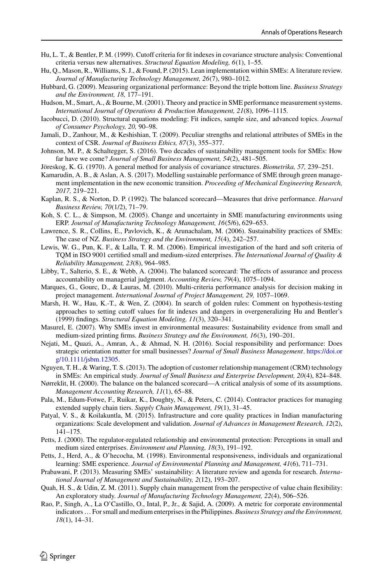- <span id="page-29-16"></span>Hu, L. T., & Bentler, P. M. (1999). Cutoff criteria for fit indexes in covariance structure analysis: Conventional criteria versus new alternatives. *Structural Equation Modeling, 6*(1), 1–55.
- <span id="page-29-22"></span>Hu, Q., Mason, R., Williams, S. J., & Found, P. (2015). Lean implementation within SMEs: A literature review. *Journal of Manufacturing Technology Management, 26*(7), 980–1012.
- <span id="page-29-7"></span>Hubbard, G. (2009). Measuring organizational performance: Beyond the triple bottom line. *Business Strategy and the Environment, 18,* 177–191.
- <span id="page-29-6"></span>Hudson, M., Smart, A., & Bourne, M. (2001). Theory and practice in SME performance measurement systems. *International Journal of Operations & Production Management, 21*(8), 1096–1115.
- <span id="page-29-18"></span>Iacobucci, D. (2010). Structural equations modeling: Fit indices, sample size, and advanced topics. *Journal of Consumer Psychology, 20,* 90–98.
- <span id="page-29-26"></span>Jamali, D., Zanhour, M., & Keshishian, T. (2009). Peculiar strengths and relational attributes of SMEs in the context of CSR. *Journal of Business Ethics, 87*(3), 355–377.
- <span id="page-29-0"></span>Johnson, M. P., & Schaltegger, S. (2016). Two decades of sustainability management tools for SMEs: How far have we come? *Journal of Small Business Management, 54*(2), 481–505.
- <span id="page-29-15"></span>Jöreskog, K. G. (1970). A general method for analysis of covariance structures. *Biometrika, 57,* 239–251.
- <span id="page-29-14"></span>Kamarudin, A. B., & Aslan, A. S. (2017). Modelling sustainable performance of SME through green management implementation in the new economic transition. *Proceeding of Mechanical Engineering Research, 2017,* 219–221.
- <span id="page-29-10"></span>Kaplan, R. S., & Norton, D. P. (1992). The balanced scorecard—Measures that drive performance. *Harvard Business Review, 70*(1/2), 71–79.
- <span id="page-29-24"></span>Koh, S. C. L., & Simpson, M. (2005). Change and uncertainty in SME manufacturing environments using ERP. *Journal of Manufacturing Technology Management, 16*(5/6), 629–653.
- <span id="page-29-8"></span>Lawrence, S. R., Collins, E., Pavlovich, K., & Arunachalam, M. (2006). Sustainability practices of SMEs: The case of NZ. *Business Strategy and the Environment, 15*(4), 242–257.
- <span id="page-29-25"></span>Lewis, W. G., Pun, K. F., & Lalla, T. R. M. (2006). Empirical investigation of the hard and soft criteria of TQM in ISO 9001 certified small and medium-sized enterprises. *The International Journal of Quality & Reliability Management, 23*(8), 964–985.
- <span id="page-29-9"></span>Libby, T., Salterio, S. E., & Webb, A. (2004). The balanced scorecard: The effects of assurance and process accountability on managerial judgment. *Accounting Review, 79*(4), 1075–1094.
- <span id="page-29-12"></span>Marques, G., Gourc, D., & Lauras, M. (2010). Multi-criteria performance analysis for decision making in project management. *International Journal of Project Management, 29,* 1057–1069.
- <span id="page-29-17"></span>Marsh, H. W., Hau, K.-T., & Wen, Z. (2004). In search of golden rules: Comment on hypothesis-testing approaches to setting cutoff values for fit indexes and dangers in overgeneralizing Hu and Bentler's (1999) findings. *Structural Equation Modeling, 11*(3), 320–341.
- <span id="page-29-3"></span>Masurel, E. (2007). Why SMEs invest in environmental measures: Sustainability evidence from small and medium-sized printing firms. *Business Strategy and the Environment, 16*(3), 190–201.
- <span id="page-29-2"></span>Nejati, M., Quazi, A., Amran, A., & Ahmad, N. H. (2016). Social responsibility and performance: Does [strategic orientation matter for small businesses?](https://doi.org/10.1111/jsbm.12305) *Journal of Small Business Management*. https://doi.or g/10.1111/jsbm.12305.
- <span id="page-29-20"></span>Nguyen, T. H., & Waring, T. S. (2013). The adoption of customer relationship management (CRM) technology in SMEs: An empirical study. *Journal of Small Business and Enterprise Development, 20*(4), 824–848.
- <span id="page-29-11"></span>Nørreklit, H. (2000). The balance on the balanced scorecard—A critical analysis of some of its assumptions. *Management Accounting Research, 11*(1), 65–88.
- <span id="page-29-21"></span>Pala, M., Edum-Fotwe, F., Ruikar, K., Doughty, N., & Peters, C. (2014). Contractor practices for managing extended supply chain tiers. *Supply Chain Management, 19*(1), 31–45.
- <span id="page-29-19"></span>Patyal, V. S., & Koilakuntla, M. (2015). Infrastructure and core quality practices in Indian manufacturing organizations: Scale development and validation. *Journal of Advances in Management Research, 12*(2), 141–175.
- <span id="page-29-5"></span>Petts, J. (2000). The regulator-regulated relationship and environmental protection: Perceptions in small and medium sized enterprises. *Environment and Planning, 18*(3), 191–192.
- <span id="page-29-1"></span>Petts, J., Herd, A., & O'hecocha, M. (1998). Environmental responsiveness, individuals and organizational learning: SME experience. *Journal of Environmental Planning and Management, 41*(6), 711–731.
- <span id="page-29-4"></span>Prabawani, P. (2013). Measuring SMEs' sustainability: A literature review and agenda for research. *International Journal of Management and Sustainability, 2*(12), 193–207.
- <span id="page-29-23"></span>Quah, H. S., & Udin, Z. M. (2011). Supply chain management from the perspective of value chain flexibility: An exploratory study. *Journal of Manufacturing Technology Management, 22*(4), 506–526.
- <span id="page-29-13"></span>Rao, P., Singh, A., La O'Castillo, O., Intal, P., Jr., & Sajid, A. (2009). A metric for corporate environmental indicators… For small and medium enterprises in the Philippines. *Business Strategy and the Environment, 18*(1), 14–31.